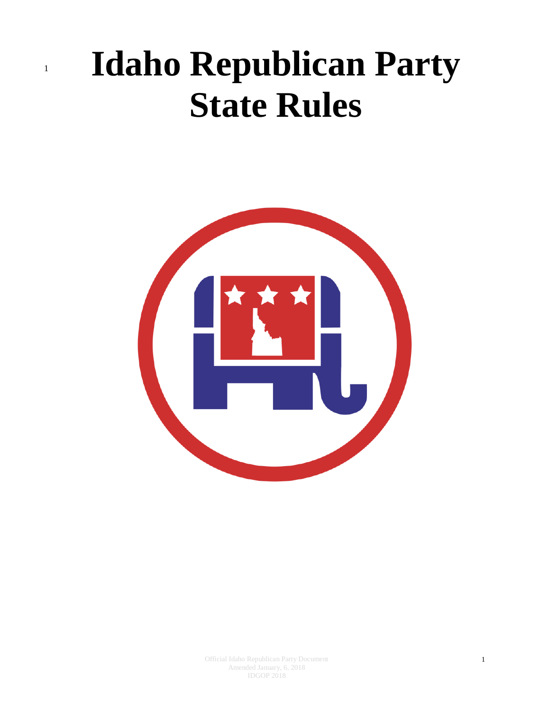# <sup>1</sup> **Idaho Republican Party State Rules**

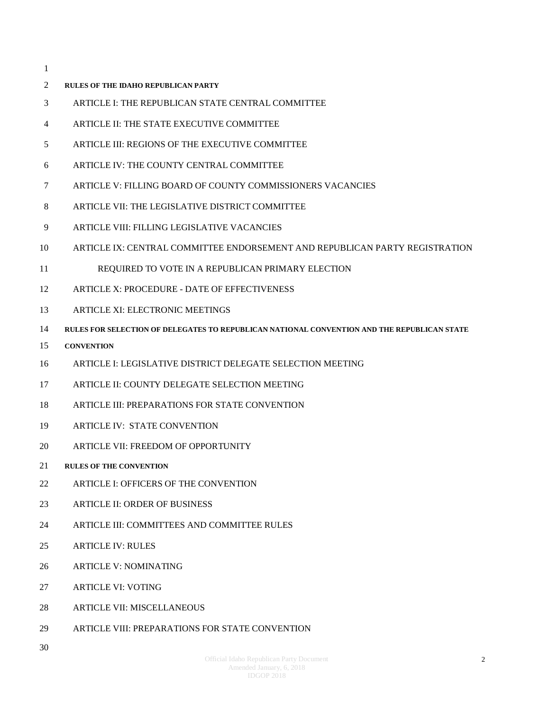- **[RULES OF THE IDAHO REPUBLICAN PARTY](#page-3-0)**
- [ARTICLE I: THE REPUBLICAN STATE CENTRAL COMMITTEE](#page-3-1)
- [ARTICLE II: THE STATE EXECUTIVE COMMITTEE](#page-14-0)
- [ARTICLE III: REGIONS OF THE EXECUTIVE COMMITTEE](#page-16-0)
- [ARTICLE IV: THE COUNTY CENTRAL COMMITTEE](#page-20-0)
- [ARTICLE V: FILLING BOARD OF COUNTY COMMISSIONERS VACANCIES](#page-23-0)
- [ARTICLE VII: THE LEGISLATIVE DISTRICT COMMITTEE](#page-25-0)
- [ARTICLE VIII: FILLING LEGISLATIVE VACANCIES](#page-28-0)
- [ARTICLE IX: CENTRAL COMMITTEE ENDORSEMENT AND REPUBLICAN PARTY REGISTRATION](#page-29-0)
- [REQUIRED TO VOTE IN A REPUBLICAN PRIMARY ELECTION](#page-29-0)
- [ARTICLE X: PROCEDURE -](#page-30-0) DATE OF EFFECTIVENESS
- [ARTICLE XI: ELECTRONIC MEETINGS](#page-31-0)
- **[RULES FOR SELECTION OF DELEGATES TO REPUBLICAN NATIONAL CONVENTION AND THE REPUBLICAN STATE](#page-33-0)**
- **[CONVENTION](#page-33-0)**
- [ARTICLE I: LEGISLATIVE DISTRICT DELEGATE SELECTION MEETING](#page-33-1)
- [ARTICLE II: COUNTY DELEGATE SELECTION MEETING](#page-36-0)
- [ARTICLE III: PREPARATIONS FOR STATE CONVENTION](#page-38-0)
- [ARTICLE IV: STATE CONVENTION](#page-39-0)
- [ARTICLE VII: FREEDOM OF OPPORTUNITY](#page-45-0)
- **[RULES OF THE CONVENTION](#page-46-0)**
- [ARTICLE I: OFFICERS OF THE CONVENTION](#page-46-1)
- [ARTICLE II: ORDER OF BUSINESS](#page-47-0)
- [ARTICLE III: COMMITTEES AND COMMITTEE RULES](#page-47-1)
- [ARTICLE IV: RULES](#page-53-0)
- [ARTICLE V: NOMINATING](#page-53-1)
- [ARTICLE VI: VOTING](#page-53-2)
- [ARTICLE VII: MISCELLANEOUS](#page-55-0)
- [ARTICLE VIII: PREPARATIONS FOR STATE CONVENTION](#page-56-0)
-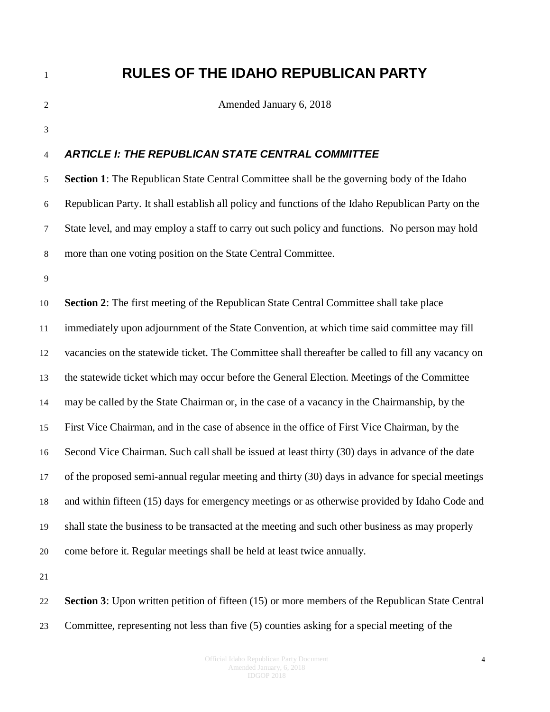## <span id="page-3-1"></span><span id="page-3-0"></span> **RULES OF THE IDAHO REPUBLICAN PARTY** Amended January 6, 2018 *ARTICLE I: THE REPUBLICAN STATE CENTRAL COMMITTEE*  **Section 1**: The Republican State Central Committee shall be the governing body of the Idaho Republican Party. It shall establish all policy and functions of the Idaho Republican Party on the State level, and may employ a staff to carry out such policy and functions. No person may hold more than one voting position on the State Central Committee.

 **Section 2**: The first meeting of the Republican State Central Committee shall take place immediately upon adjournment of the State Convention, at which time said committee may fill vacancies on the statewide ticket. The Committee shall thereafter be called to fill any vacancy on the statewide ticket which may occur before the General Election. Meetings of the Committee may be called by the State Chairman or, in the case of a vacancy in the Chairmanship, by the First Vice Chairman, and in the case of absence in the office of First Vice Chairman, by the Second Vice Chairman. Such call shall be issued at least thirty (30) days in advance of the date of the proposed semi-annual regular meeting and thirty (30) days in advance for special meetings and within fifteen (15) days for emergency meetings or as otherwise provided by Idaho Code and shall state the business to be transacted at the meeting and such other business as may properly come before it. Regular meetings shall be held at least twice annually.

 **Section 3**: Upon written petition of fifteen (15) or more members of the Republican State Central Committee, representing not less than five (5) counties asking for a special meeting of the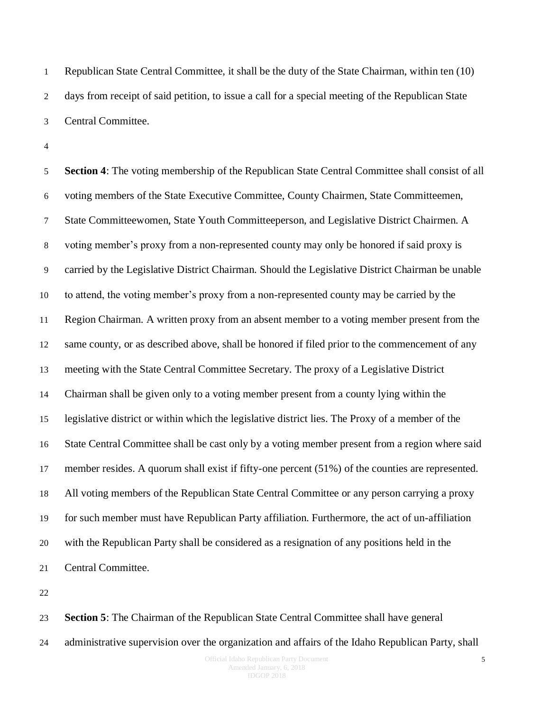Republican State Central Committee, it shall be the duty of the State Chairman, within ten (10) days from receipt of said petition, to issue a call for a special meeting of the Republican State Central Committee.

 **Section 4**: The voting membership of the Republican State Central Committee shall consist of all voting members of the State Executive Committee, County Chairmen, State Committeemen, State Committeewomen, State Youth Committeeperson, and Legislative District Chairmen. A voting member's proxy from a non-represented county may only be honored if said proxy is carried by the Legislative District Chairman. Should the Legislative District Chairman be unable to attend, the voting member's proxy from a non-represented county may be carried by the Region Chairman. A written proxy from an absent member to a voting member present from the same county, or as described above, shall be honored if filed prior to the commencement of any meeting with the State Central Committee Secretary. The proxy of a Legislative District Chairman shall be given only to a voting member present from a county lying within the legislative district or within which the legislative district lies. The Proxy of a member of the State Central Committee shall be cast only by a voting member present from a region where said member resides. A quorum shall exist if fifty-one percent (51%) of the counties are represented. All voting members of the Republican State Central Committee or any person carrying a proxy for such member must have Republican Party affiliation. Furthermore, the act of un-affiliation with the Republican Party shall be considered as a resignation of any positions held in the Central Committee.

 **Section 5**: The Chairman of the Republican State Central Committee shall have general administrative supervision over the organization and affairs of the Idaho Republican Party, shall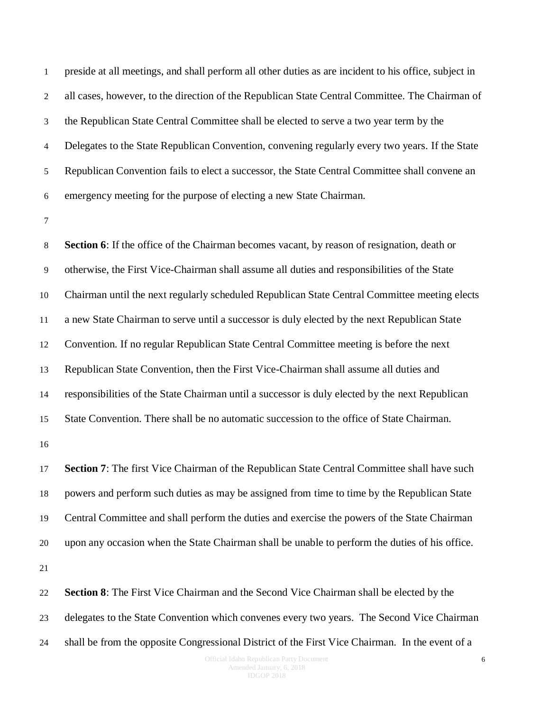preside at all meetings, and shall perform all other duties as are incident to his office, subject in all cases, however, to the direction of the Republican State Central Committee. The Chairman of the Republican State Central Committee shall be elected to serve a two year term by the Delegates to the State Republican Convention, convening regularly every two years. If the State Republican Convention fails to elect a successor, the State Central Committee shall convene an emergency meeting for the purpose of electing a new State Chairman.

 **Section 6**: If the office of the Chairman becomes vacant, by reason of resignation, death or otherwise, the First Vice-Chairman shall assume all duties and responsibilities of the State Chairman until the next regularly scheduled Republican State Central Committee meeting elects a new State Chairman to serve until a successor is duly elected by the next Republican State Convention. If no regular Republican State Central Committee meeting is before the next Republican State Convention, then the First Vice-Chairman shall assume all duties and responsibilities of the State Chairman until a successor is duly elected by the next Republican State Convention. There shall be no automatic succession to the office of State Chairman. 

 **Section 7**: The first Vice Chairman of the Republican State Central Committee shall have such powers and perform such duties as may be assigned from time to time by the Republican State Central Committee and shall perform the duties and exercise the powers of the State Chairman upon any occasion when the State Chairman shall be unable to perform the duties of his office. 

 **Section 8**: The First Vice Chairman and the Second Vice Chairman shall be elected by the delegates to the State Convention which convenes every two years. The Second Vice Chairman shall be from the opposite Congressional District of the First Vice Chairman. In the event of a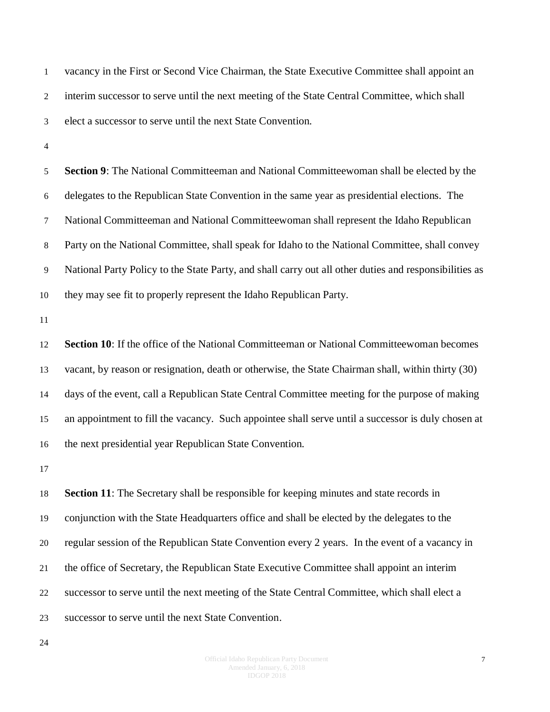vacancy in the First or Second Vice Chairman, the State Executive Committee shall appoint an interim successor to serve until the next meeting of the State Central Committee, which shall elect a successor to serve until the next State Convention.

 **Section 9**: The National Committeeman and National Committeewoman shall be elected by the delegates to the Republican State Convention in the same year as presidential elections. The National Committeeman and National Committeewoman shall represent the Idaho Republican Party on the National Committee, shall speak for Idaho to the National Committee, shall convey National Party Policy to the State Party, and shall carry out all other duties and responsibilities as they may see fit to properly represent the Idaho Republican Party.

 **Section 10**: If the office of the National Committeeman or National Committeewoman becomes vacant, by reason or resignation, death or otherwise, the State Chairman shall, within thirty (30) days of the event, call a Republican State Central Committee meeting for the purpose of making an appointment to fill the vacancy. Such appointee shall serve until a successor is duly chosen at the next presidential year Republican State Convention.

 **Section 11**: The Secretary shall be responsible for keeping minutes and state records in conjunction with the State Headquarters office and shall be elected by the delegates to the regular session of the Republican State Convention every 2 years. In the event of a vacancy in the office of Secretary, the Republican State Executive Committee shall appoint an interim successor to serve until the next meeting of the State Central Committee, which shall elect a successor to serve until the next State Convention.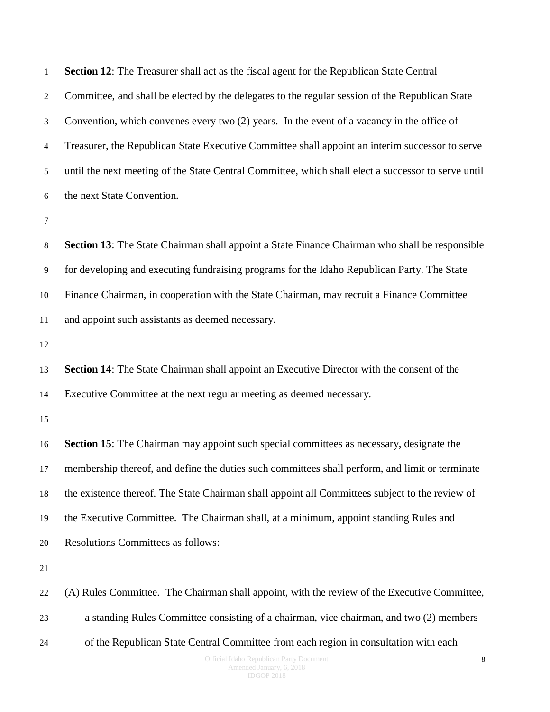| $\mathbf{1}$     | Section 12: The Treasurer shall act as the fiscal agent for the Republican State Central            |
|------------------|-----------------------------------------------------------------------------------------------------|
| $\boldsymbol{2}$ | Committee, and shall be elected by the delegates to the regular session of the Republican State     |
| $\mathfrak{Z}$   | Convention, which convenes every two $(2)$ years. In the event of a vacancy in the office of        |
| $\overline{4}$   | Treasurer, the Republican State Executive Committee shall appoint an interim successor to serve     |
| 5                | until the next meeting of the State Central Committee, which shall elect a successor to serve until |
| 6                | the next State Convention.                                                                          |
| 7                |                                                                                                     |
| $8\,$            | Section 13: The State Chairman shall appoint a State Finance Chairman who shall be responsible      |
| $\overline{9}$   | for developing and executing fundraising programs for the Idaho Republican Party. The State         |
| 10               | Finance Chairman, in cooperation with the State Chairman, may recruit a Finance Committee           |
| 11               | and appoint such assistants as deemed necessary.                                                    |
| 12               |                                                                                                     |
| 13               | Section 14: The State Chairman shall appoint an Executive Director with the consent of the          |
| 14               | Executive Committee at the next regular meeting as deemed necessary.                                |
| 15               |                                                                                                     |
| 16               | Section 15: The Chairman may appoint such special committees as necessary, designate the            |
| 17               | membership thereof, and define the duties such committees shall perform, and limit or terminate     |
| 18               | the existence thereof. The State Chairman shall appoint all Committees subject to the review of     |
| 19               | the Executive Committee. The Chairman shall, at a minimum, appoint standing Rules and               |
| 20               | Resolutions Committees as follows:                                                                  |
| 21               |                                                                                                     |
| 22               | (A) Rules Committee. The Chairman shall appoint, with the review of the Executive Committee,        |
| 23               | a standing Rules Committee consisting of a chairman, vice chairman, and two (2) members             |
| 24               | of the Republican State Central Committee from each region in consultation with each                |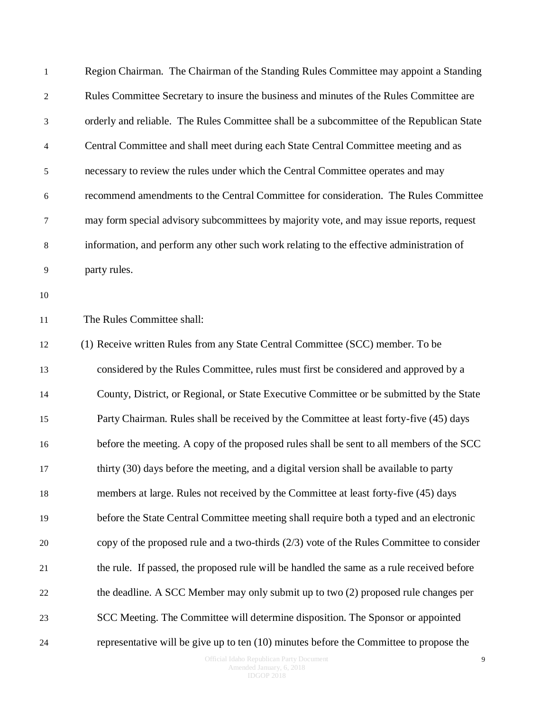| $\mathbf{1}$     | Region Chairman. The Chairman of the Standing Rules Committee may appoint a Standing       |
|------------------|--------------------------------------------------------------------------------------------|
| $\overline{2}$   | Rules Committee Secretary to insure the business and minutes of the Rules Committee are    |
| 3                | orderly and reliable. The Rules Committee shall be a subcommittee of the Republican State  |
| $\overline{4}$   | Central Committee and shall meet during each State Central Committee meeting and as        |
| 5                | necessary to review the rules under which the Central Committee operates and may           |
| $\boldsymbol{6}$ | recommend amendments to the Central Committee for consideration. The Rules Committee       |
| 7                | may form special advisory subcommittees by majority vote, and may issue reports, request   |
| 8                | information, and perform any other such work relating to the effective administration of   |
| 9                | party rules.                                                                               |
| 10               |                                                                                            |
| 11               | The Rules Committee shall:                                                                 |
| 12               | (1) Receive written Rules from any State Central Committee (SCC) member. To be             |
| 13               | considered by the Rules Committee, rules must first be considered and approved by a        |
| 14               | County, District, or Regional, or State Executive Committee or be submitted by the State   |
| 15               | Party Chairman. Rules shall be received by the Committee at least forty-five (45) days     |
| 16               | before the meeting. A copy of the proposed rules shall be sent to all members of the SCC   |
| 17               | thirty (30) days before the meeting, and a digital version shall be available to party     |
| 18               | members at large. Rules not received by the Committee at least forty-five (45) days        |
| 19               | before the State Central Committee meeting shall require both a typed and an electronic    |
| 20               | copy of the proposed rule and a two-thirds $(2/3)$ vote of the Rules Committee to consider |
| 21               | the rule. If passed, the proposed rule will be handled the same as a rule received before  |
| 22               | the deadline. A SCC Member may only submit up to two (2) proposed rule changes per         |
| 23               | SCC Meeting. The Committee will determine disposition. The Sponsor or appointed            |
| 24               | representative will be give up to ten $(10)$ minutes before the Committee to propose the   |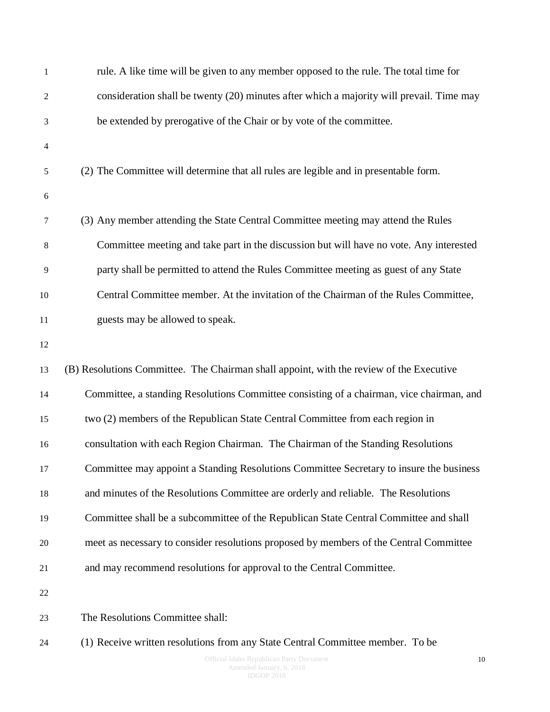| $\,1\,$        | rule. A like time will be given to any member opposed to the rule. The total time for    |
|----------------|------------------------------------------------------------------------------------------|
| 2              | consideration shall be twenty (20) minutes after which a majority will prevail. Time may |
| 3              | be extended by prerogative of the Chair or by vote of the committee.                     |
| $\overline{4}$ |                                                                                          |
| 5              | (2) The Committee will determine that all rules are legible and in presentable form.     |
| 6              |                                                                                          |
| 7              | (3) Any member attending the State Central Committee meeting may attend the Rules        |
| $\,8\,$        | Committee meeting and take part in the discussion but will have no vote. Any interested  |
| 9              | party shall be permitted to attend the Rules Committee meeting as guest of any State     |
| 10             | Central Committee member. At the invitation of the Chairman of the Rules Committee,      |
| 11             | guests may be allowed to speak.                                                          |
| 12             |                                                                                          |
| 13             | (B) Resolutions Committee. The Chairman shall appoint, with the review of the Executive  |
| 14             | Committee, a standing Resolutions Committee consisting of a chairman, vice chairman, and |
| 15             | two (2) members of the Republican State Central Committee from each region in            |
| 16             | consultation with each Region Chairman. The Chairman of the Standing Resolutions         |
| 17             | Committee may appoint a Standing Resolutions Committee Secretary to insure the business  |
| 18             | and minutes of the Resolutions Committee are orderly and reliable. The Resolutions       |
| 19             | Committee shall be a subcommittee of the Republican State Central Committee and shall    |
| 20             | meet as necessary to consider resolutions proposed by members of the Central Committee   |
| 21             | and may recommend resolutions for approval to the Central Committee.                     |
| 22             |                                                                                          |
| 23             | The Resolutions Committee shall:                                                         |
| 24             | (1) Receive written resolutions from any State Central Committee member. To be           |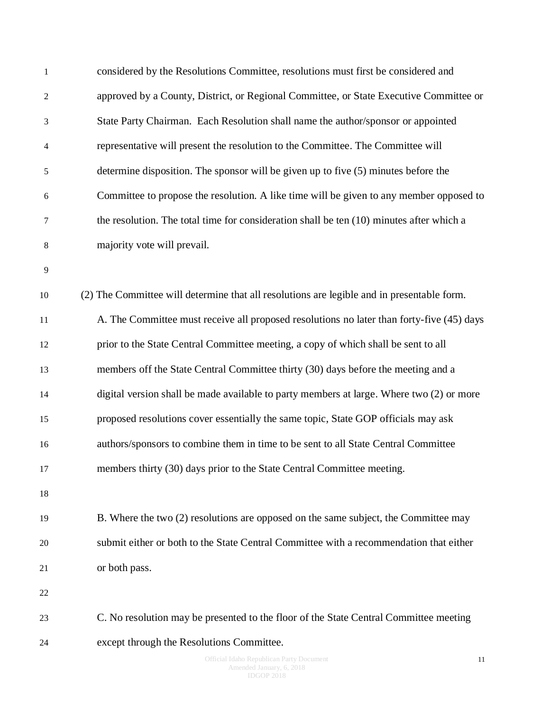| $\mathbf{1}$   | considered by the Resolutions Committee, resolutions must first be considered and          |
|----------------|--------------------------------------------------------------------------------------------|
| $\overline{c}$ | approved by a County, District, or Regional Committee, or State Executive Committee or     |
| 3              | State Party Chairman. Each Resolution shall name the author/sponsor or appointed           |
| 4              | representative will present the resolution to the Committee. The Committee will            |
| 5              | determine disposition. The sponsor will be given up to five (5) minutes before the         |
| 6              | Committee to propose the resolution. A like time will be given to any member opposed to    |
| 7              | the resolution. The total time for consideration shall be ten $(10)$ minutes after which a |
| 8              | majority vote will prevail.                                                                |
| 9              |                                                                                            |
| $10\,$         | (2) The Committee will determine that all resolutions are legible and in presentable form. |
| 11             | A. The Committee must receive all proposed resolutions no later than forty-five (45) days  |
| 12             | prior to the State Central Committee meeting, a copy of which shall be sent to all         |
| 13             | members off the State Central Committee thirty (30) days before the meeting and a          |
| 14             | digital version shall be made available to party members at large. Where two (2) or more   |
| 15             | proposed resolutions cover essentially the same topic, State GOP officials may ask         |
| 16             | authors/sponsors to combine them in time to be sent to all State Central Committee         |
| 17             | members thirty (30) days prior to the State Central Committee meeting.                     |
| 18             |                                                                                            |
| 19             | B. Where the two (2) resolutions are opposed on the same subject, the Committee may        |
| 20             | submit either or both to the State Central Committee with a recommendation that either     |
| 21             | or both pass.                                                                              |
| 22             |                                                                                            |
| 23             | C. No resolution may be presented to the floor of the State Central Committee meeting      |
| 24             | except through the Resolutions Committee.                                                  |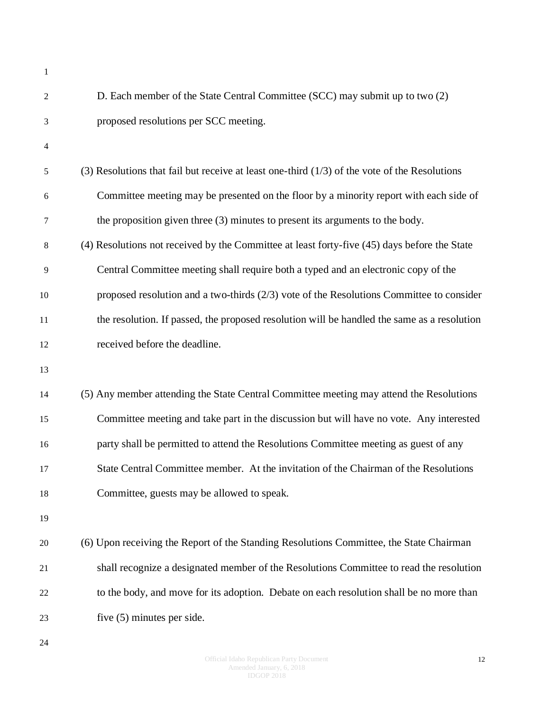| 1              |                                                                                                 |
|----------------|-------------------------------------------------------------------------------------------------|
| $\overline{c}$ | D. Each member of the State Central Committee (SCC) may submit up to two (2)                    |
| 3              | proposed resolutions per SCC meeting.                                                           |
| 4              |                                                                                                 |
| 5              | (3) Resolutions that fail but receive at least one-third $(1/3)$ of the vote of the Resolutions |
| 6              | Committee meeting may be presented on the floor by a minority report with each side of          |
| 7              | the proposition given three (3) minutes to present its arguments to the body.                   |
| 8              | (4) Resolutions not received by the Committee at least forty-five (45) days before the State    |
| 9              | Central Committee meeting shall require both a typed and an electronic copy of the              |
| 10             | proposed resolution and a two-thirds $(2/3)$ vote of the Resolutions Committee to consider      |
| 11             | the resolution. If passed, the proposed resolution will be handled the same as a resolution     |
| 12             | received before the deadline.                                                                   |
| 13             |                                                                                                 |
| 14             | (5) Any member attending the State Central Committee meeting may attend the Resolutions         |
| 15             | Committee meeting and take part in the discussion but will have no vote. Any interested         |
| 16             | party shall be permitted to attend the Resolutions Committee meeting as guest of any            |
| 17             | State Central Committee member. At the invitation of the Chairman of the Resolutions            |
| 18             | Committee, guests may be allowed to speak.                                                      |
| 19             |                                                                                                 |
| 20             | (6) Upon receiving the Report of the Standing Resolutions Committee, the State Chairman         |
| 21             | shall recognize a designated member of the Resolutions Committee to read the resolution         |
| 22             | to the body, and move for its adoption. Debate on each resolution shall be no more than         |
| 23             | five $(5)$ minutes per side.                                                                    |
|                |                                                                                                 |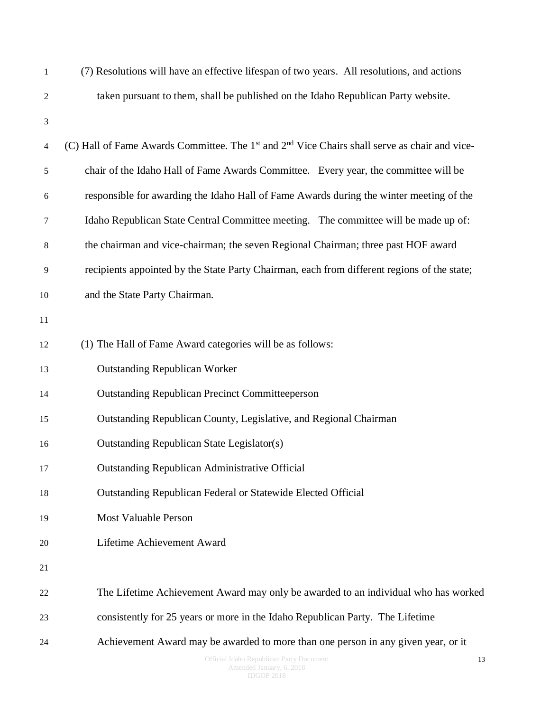| $\mathbf 1$    | (7) Resolutions will have an effective lifespan of two years. All resolutions, and actions                            |
|----------------|-----------------------------------------------------------------------------------------------------------------------|
| $\overline{2}$ | taken pursuant to them, shall be published on the Idaho Republican Party website.                                     |
| 3              |                                                                                                                       |
| $\overline{4}$ | (C) Hall of Fame Awards Committee. The 1 <sup>st</sup> and 2 <sup>nd</sup> Vice Chairs shall serve as chair and vice- |
| $\sqrt{5}$     | chair of the Idaho Hall of Fame Awards Committee. Every year, the committee will be                                   |
| 6              | responsible for awarding the Idaho Hall of Fame Awards during the winter meeting of the                               |
| $\tau$         | Idaho Republican State Central Committee meeting. The committee will be made up of:                                   |
| $\,8\,$        | the chairman and vice-chairman; the seven Regional Chairman; three past HOF award                                     |
| 9              | recipients appointed by the State Party Chairman, each from different regions of the state;                           |
| 10             | and the State Party Chairman.                                                                                         |
| 11             |                                                                                                                       |
| 12             | (1) The Hall of Fame Award categories will be as follows:                                                             |
| 13             | <b>Outstanding Republican Worker</b>                                                                                  |
| 14             | <b>Outstanding Republican Precinct Committeeperson</b>                                                                |
| 15             | Outstanding Republican County, Legislative, and Regional Chairman                                                     |
| 16             | <b>Outstanding Republican State Legislator(s)</b>                                                                     |
| 17             | <b>Outstanding Republican Administrative Official</b>                                                                 |
| 18             | Outstanding Republican Federal or Statewide Elected Official                                                          |
| 19             | <b>Most Valuable Person</b>                                                                                           |
| 20             | Lifetime Achievement Award                                                                                            |
| 21             |                                                                                                                       |
| 22             | The Lifetime Achievement Award may only be awarded to an individual who has worked                                    |
| 23             | consistently for 25 years or more in the Idaho Republican Party. The Lifetime                                         |
| 24             | Achievement Award may be awarded to more than one person in any given year, or it                                     |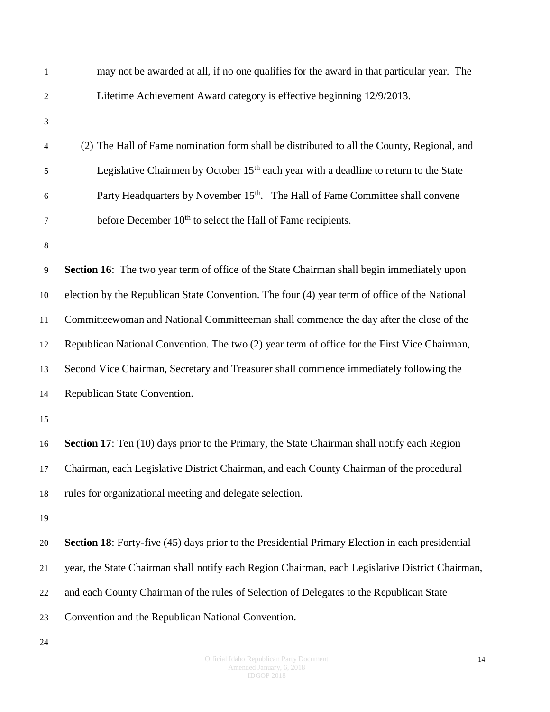| $\mathbf{1}$   | may not be awarded at all, if no one qualifies for the award in that particular year. The         |
|----------------|---------------------------------------------------------------------------------------------------|
| $\overline{2}$ | Lifetime Achievement Award category is effective beginning 12/9/2013.                             |
| 3              |                                                                                                   |
| $\overline{4}$ | (2) The Hall of Fame nomination form shall be distributed to all the County, Regional, and        |
| 5              | Legislative Chairmen by October 15 <sup>th</sup> each year with a deadline to return to the State |
| 6              | Party Headquarters by November 15 <sup>th</sup> . The Hall of Fame Committee shall convene        |
| $\tau$         | before December 10 <sup>th</sup> to select the Hall of Fame recipients.                           |
| $\,8\,$        |                                                                                                   |
| $\overline{9}$ | <b>Section 16:</b> The two year term of office of the State Chairman shall begin immediately upon |
| 10             | election by the Republican State Convention. The four (4) year term of office of the National     |
| 11             | Committeewoman and National Committeeman shall commence the day after the close of the            |
| 12             | Republican National Convention. The two (2) year term of office for the First Vice Chairman,      |
| 13             | Second Vice Chairman, Secretary and Treasurer shall commence immediately following the            |
| 14             | Republican State Convention.                                                                      |
| 15             |                                                                                                   |
| 16             | Section 17: Ten (10) days prior to the Primary, the State Chairman shall notify each Region       |
| 17             | Chairman, each Legislative District Chairman, and each County Chairman of the procedural          |
| 18             | rules for organizational meeting and delegate selection.                                          |
| 19             |                                                                                                   |
| 20             | Section 18: Forty-five (45) days prior to the Presidential Primary Election in each presidential  |
| 21             | year, the State Chairman shall notify each Region Chairman, each Legislative District Chairman,   |
| 22             | and each County Chairman of the rules of Selection of Delegates to the Republican State           |
| 23             | Convention and the Republican National Convention.                                                |
|                |                                                                                                   |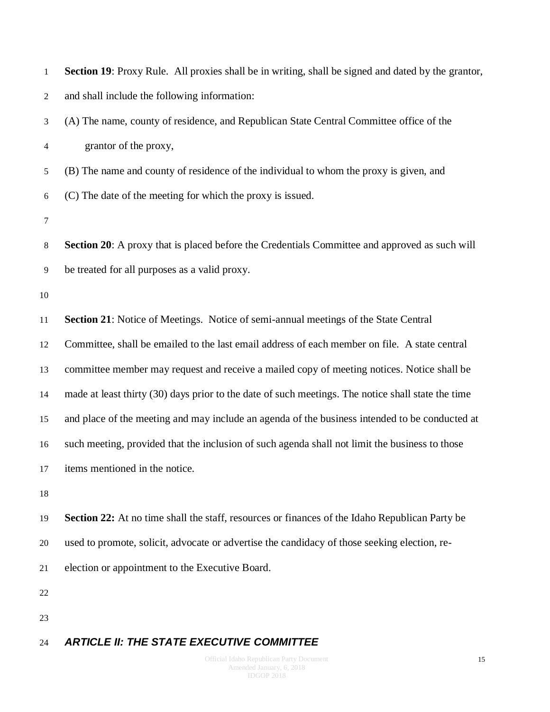| $\mathbf{1}$   | Section 19: Proxy Rule. All proxies shall be in writing, shall be signed and dated by the grantor,   |
|----------------|------------------------------------------------------------------------------------------------------|
| $\overline{c}$ | and shall include the following information:                                                         |
| 3              | (A) The name, county of residence, and Republican State Central Committee office of the              |
| 4              | grantor of the proxy,                                                                                |
| 5              | (B) The name and county of residence of the individual to whom the proxy is given, and               |
| 6              | (C) The date of the meeting for which the proxy is issued.                                           |
| 7              |                                                                                                      |
| $8\,$          | <b>Section 20:</b> A proxy that is placed before the Credentials Committee and approved as such will |
| 9              | be treated for all purposes as a valid proxy.                                                        |
| 10             |                                                                                                      |
| 11             | Section 21: Notice of Meetings. Notice of semi-annual meetings of the State Central                  |
| 12             | Committee, shall be emailed to the last email address of each member on file. A state central        |
| 13             | committee member may request and receive a mailed copy of meeting notices. Notice shall be           |
| 14             | made at least thirty (30) days prior to the date of such meetings. The notice shall state the time   |
| 15             | and place of the meeting and may include an agenda of the business intended to be conducted at       |
| 16             | such meeting, provided that the inclusion of such agenda shall not limit the business to those       |
| 17             | items mentioned in the notice.                                                                       |
| 18             |                                                                                                      |
| 19             | Section 22: At no time shall the staff, resources or finances of the Idaho Republican Party be       |
| 20             | used to promote, solicit, advocate or advertise the candidacy of those seeking election, re-         |
| 21             | election or appointment to the Executive Board.                                                      |
| 22             |                                                                                                      |
| 23             |                                                                                                      |

#### <span id="page-14-0"></span>*ARTICLE II: THE STATE EXECUTIVE COMMITTEE*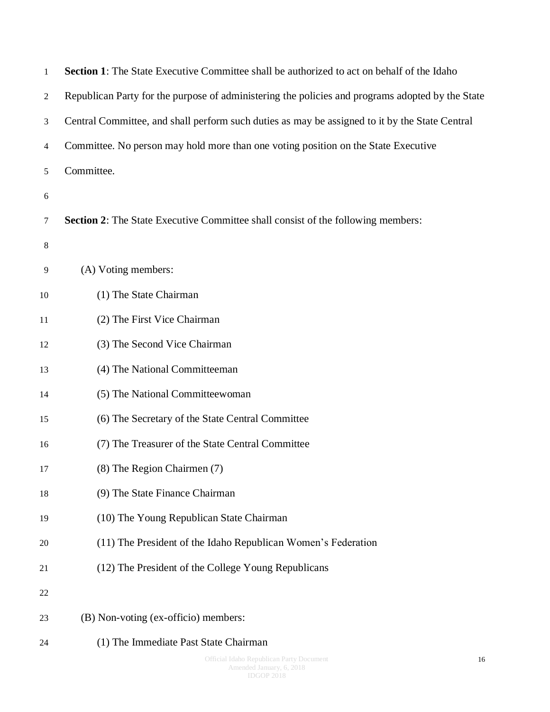| $\mathbf{1}$   | <b>Section 1:</b> The State Executive Committee shall be authorized to act on behalf of the Idaho |
|----------------|---------------------------------------------------------------------------------------------------|
| $\overline{2}$ | Republican Party for the purpose of administering the policies and programs adopted by the State  |
| 3              | Central Committee, and shall perform such duties as may be assigned to it by the State Central    |
| $\overline{4}$ | Committee. No person may hold more than one voting position on the State Executive                |
| 5              | Committee.                                                                                        |
| 6              |                                                                                                   |
| $\tau$         | <b>Section 2:</b> The State Executive Committee shall consist of the following members:           |
| $\,8\,$        |                                                                                                   |
| 9              | (A) Voting members:                                                                               |
| 10             | (1) The State Chairman                                                                            |
| 11             | (2) The First Vice Chairman                                                                       |
| 12             | (3) The Second Vice Chairman                                                                      |
| 13             | (4) The National Committeeman                                                                     |
| 14             | (5) The National Committeewoman                                                                   |
| 15             | (6) The Secretary of the State Central Committee                                                  |
| 16             | (7) The Treasurer of the State Central Committee                                                  |
| 17             | (8) The Region Chairmen (7)                                                                       |
| 18             | (9) The State Finance Chairman                                                                    |
| 19             | (10) The Young Republican State Chairman                                                          |
| 20             | (11) The President of the Idaho Republican Women's Federation                                     |
| 21             | (12) The President of the College Young Republicans                                               |
| 22             |                                                                                                   |
| 23             | (B) Non-voting (ex-officio) members:                                                              |
| 24             | (1) The Immediate Past State Chairman                                                             |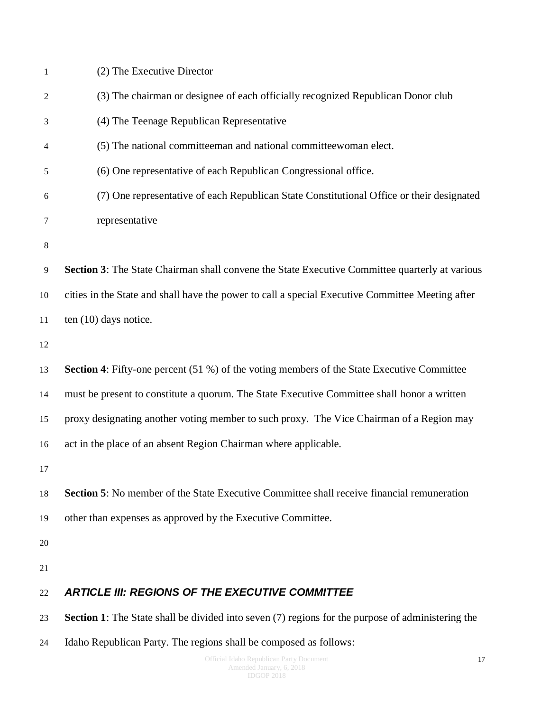<span id="page-16-0"></span>

| 1  | (2) The Executive Director                                                                               |
|----|----------------------------------------------------------------------------------------------------------|
| 2  | (3) The chairman or designee of each officially recognized Republican Donor club                         |
| 3  | (4) The Teenage Republican Representative                                                                |
| 4  | (5) The national committeeman and national committeewoman elect.                                         |
| 5  | (6) One representative of each Republican Congressional office.                                          |
| 6  | (7) One representative of each Republican State Constitutional Office or their designated                |
| 7  | representative                                                                                           |
| 8  |                                                                                                          |
| 9  | Section 3: The State Chairman shall convene the State Executive Committee quarterly at various           |
| 10 | cities in the State and shall have the power to call a special Executive Committee Meeting after         |
| 11 | ten $(10)$ days notice.                                                                                  |
| 12 |                                                                                                          |
| 13 | <b>Section 4:</b> Fifty-one percent (51 %) of the voting members of the State Executive Committee        |
| 14 | must be present to constitute a quorum. The State Executive Committee shall honor a written              |
| 15 | proxy designating another voting member to such proxy. The Vice Chairman of a Region may                 |
| 16 | act in the place of an absent Region Chairman where applicable.                                          |
| 17 |                                                                                                          |
| 18 | <b>Section 5:</b> No member of the State Executive Committee shall receive financial remuneration        |
| 19 | other than expenses as approved by the Executive Committee.                                              |
| 20 |                                                                                                          |
| 21 |                                                                                                          |
| 22 | <b>ARTICLE III: REGIONS OF THE EXECUTIVE COMMITTEE</b>                                                   |
| 23 | <b>Section 1:</b> The State shall be divided into seven (7) regions for the purpose of administering the |
| 24 | Idaho Republican Party. The regions shall be composed as follows:                                        |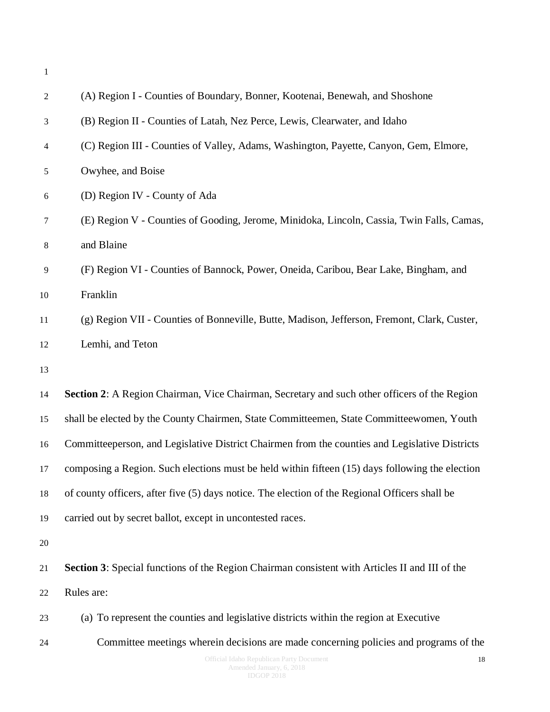| $\mathbf{1}$   |                                                                                                 |
|----------------|-------------------------------------------------------------------------------------------------|
| $\overline{2}$ | (A) Region I - Counties of Boundary, Bonner, Kootenai, Benewah, and Shoshone                    |
| 3              | (B) Region II - Counties of Latah, Nez Perce, Lewis, Clearwater, and Idaho                      |
| 4              | (C) Region III - Counties of Valley, Adams, Washington, Payette, Canyon, Gem, Elmore,           |
| 5              | Owyhee, and Boise                                                                               |
| 6              | (D) Region IV - County of Ada                                                                   |
| 7              | (E) Region V - Counties of Gooding, Jerome, Minidoka, Lincoln, Cassia, Twin Falls, Camas,       |
| $8\,$          | and Blaine                                                                                      |
| 9              | (F) Region VI - Counties of Bannock, Power, Oneida, Caribou, Bear Lake, Bingham, and            |
| 10             | Franklin                                                                                        |
| 11             | (g) Region VII - Counties of Bonneville, Butte, Madison, Jefferson, Fremont, Clark, Custer,     |
| 12             | Lemhi, and Teton                                                                                |
| 13             |                                                                                                 |
| 14             | Section 2: A Region Chairman, Vice Chairman, Secretary and such other officers of the Region    |
| 15             | shall be elected by the County Chairmen, State Committeemen, State Committeewomen, Youth        |
| 16             | Committeeperson, and Legislative District Chairmen from the counties and Legislative Districts  |
| 17             | composing a Region. Such elections must be held within fifteen (15) days following the election |
| 18             | of county officers, after five (5) days notice. The election of the Regional Officers shall be  |
| 19             | carried out by secret ballot, except in uncontested races.                                      |
| 20             |                                                                                                 |
| 21             | Section 3: Special functions of the Region Chairman consistent with Articles II and III of the  |
| 22             | Rules are:                                                                                      |
| 23             | (a) To represent the counties and legislative districts within the region at Executive          |
| 24             | Committee meetings wherein decisions are made concerning policies and programs of the           |
|                | Official Idaho Republican Party Document<br>18                                                  |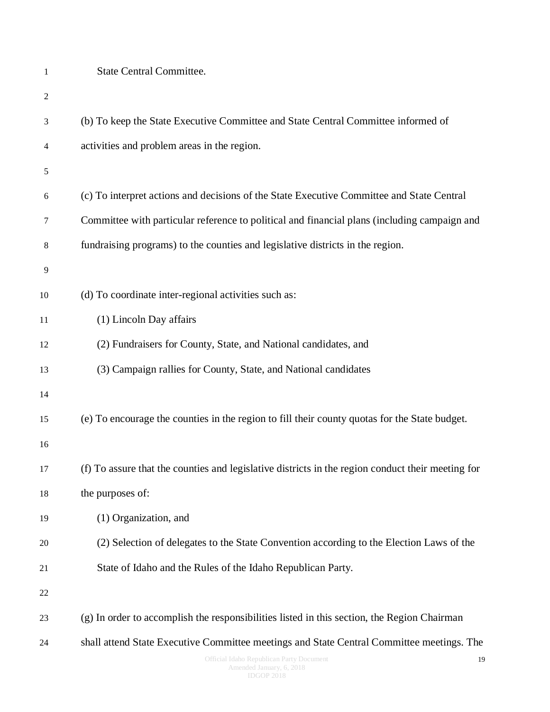(b) To keep the State Executive Committee and State Central Committee informed of activities and problem areas in the region. (c) To interpret actions and decisions of the State Executive Committee and State Central Committee with particular reference to political and financial plans (including campaign and fundraising programs) to the counties and legislative districts in the region. (d) To coordinate inter-regional activities such as: (1) Lincoln Day affairs (2) Fundraisers for County, State, and National candidates, and (3) Campaign rallies for County, State, and National candidates (e) To encourage the counties in the region to fill their county quotas for the State budget. (f) To assure that the counties and legislative districts in the region conduct their meeting for the purposes of: (1) Organization, and (2) Selection of delegates to the State Convention according to the Election Laws of the State of Idaho and the Rules of the Idaho Republican Party. (g) In order to accomplish the responsibilities listed in this section, the Region Chairman shall attend State Executive Committee meetings and State Central Committee meetings. The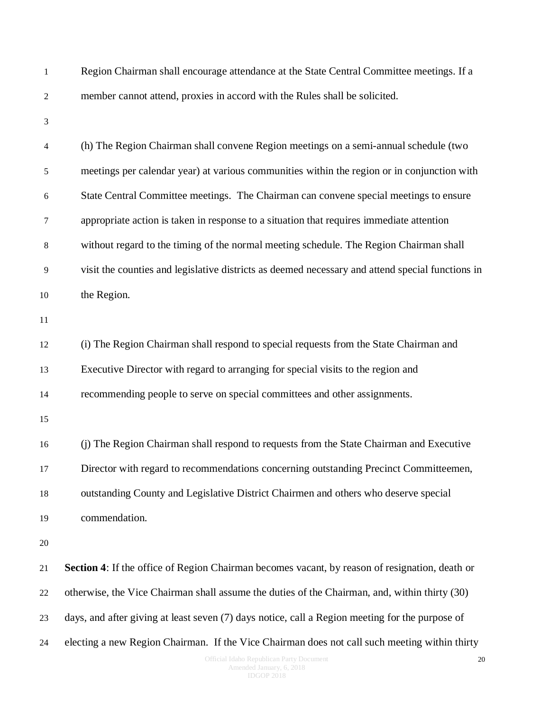| $\mathbf{1}$     | Region Chairman shall encourage attendance at the State Central Committee meetings. If a         |
|------------------|--------------------------------------------------------------------------------------------------|
| $\sqrt{2}$       | member cannot attend, proxies in accord with the Rules shall be solicited.                       |
| 3                |                                                                                                  |
| $\overline{4}$   | (h) The Region Chairman shall convene Region meetings on a semi-annual schedule (two             |
| $\sqrt{5}$       | meetings per calendar year) at various communities within the region or in conjunction with      |
| 6                | State Central Committee meetings. The Chairman can convene special meetings to ensure            |
| $\boldsymbol{7}$ | appropriate action is taken in response to a situation that requires immediate attention         |
| $\,8\,$          | without regard to the timing of the normal meeting schedule. The Region Chairman shall           |
| $\overline{9}$   | visit the counties and legislative districts as deemed necessary and attend special functions in |
| 10               | the Region.                                                                                      |
| 11               |                                                                                                  |
| 12               | (i) The Region Chairman shall respond to special requests from the State Chairman and            |
| 13               | Executive Director with regard to arranging for special visits to the region and                 |
| 14               | recommending people to serve on special committees and other assignments.                        |
| 15               |                                                                                                  |
| 16               | (j) The Region Chairman shall respond to requests from the State Chairman and Executive          |
| 17               | Director with regard to recommendations concerning outstanding Precinct Committeemen,            |
| 18               | outstanding County and Legislative District Chairmen and others who deserve special              |
| 19               | commendation.                                                                                    |
| 20               |                                                                                                  |
| 21               | Section 4: If the office of Region Chairman becomes vacant, by reason of resignation, death or   |
| 22               | otherwise, the Vice Chairman shall assume the duties of the Chairman, and, within thirty (30)    |
| 23               | days, and after giving at least seven (7) days notice, call a Region meeting for the purpose of  |
| 24               | electing a new Region Chairman. If the Vice Chairman does not call such meeting within thirty    |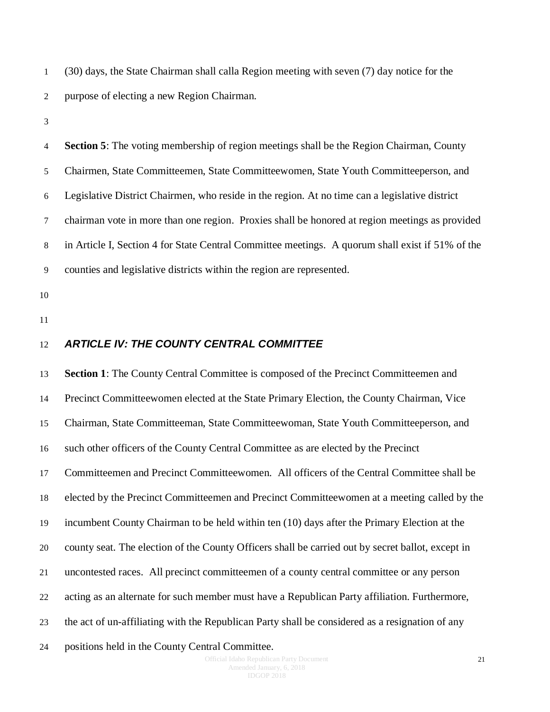(30) days, the State Chairman shall calla Region meeting with seven (7) day notice for the purpose of electing a new Region Chairman.

 **Section 5**: The voting membership of region meetings shall be the Region Chairman, County Chairmen, State Committeemen, State Committeewomen, State Youth Committeeperson, and Legislative District Chairmen, who reside in the region. At no time can a legislative district chairman vote in more than one region. Proxies shall be honored at region meetings as provided in Article I, Section 4 for State Central Committee meetings. A quorum shall exist if 51% of the counties and legislative districts within the region are represented.

- 
- 

#### <span id="page-20-0"></span>*ARTICLE IV: THE COUNTY CENTRAL COMMITTEE*

 **Section 1**: The County Central Committee is composed of the Precinct Committeemen and Precinct Committeewomen elected at the State Primary Election, the County Chairman, Vice Chairman, State Committeeman, State Committeewoman, State Youth Committeeperson, and such other officers of the County Central Committee as are elected by the Precinct Committeemen and Precinct Committeewomen. All officers of the Central Committee shall be elected by the Precinct Committeemen and Precinct Committeewomen at a meeting called by the incumbent County Chairman to be held within ten (10) days after the Primary Election at the county seat. The election of the County Officers shall be carried out by secret ballot, except in uncontested races. All precinct committeemen of a county central committee or any person acting as an alternate for such member must have a Republican Party affiliation. Furthermore, the act of un-affiliating with the Republican Party shall be considered as a resignation of any

positions held in the County Central Committee.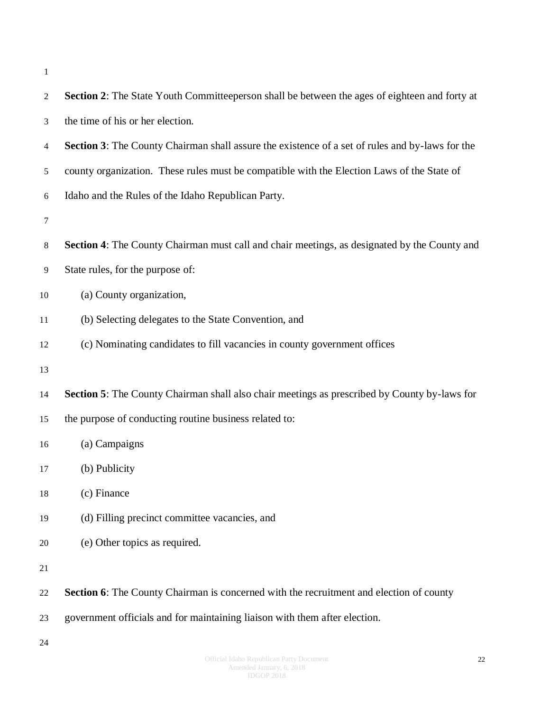| $\mathbf{2}$ | <b>Section 2:</b> The State Youth Committeeperson shall be between the ages of eighteen and forty at |
|--------------|------------------------------------------------------------------------------------------------------|
| 3            | the time of his or her election.                                                                     |
| 4            | Section 3: The County Chairman shall assure the existence of a set of rules and by-laws for the      |
| 5            | county organization. These rules must be compatible with the Election Laws of the State of           |
| 6            | Idaho and the Rules of the Idaho Republican Party.                                                   |
| 7            |                                                                                                      |
| 8            | Section 4: The County Chairman must call and chair meetings, as designated by the County and         |
| 9            | State rules, for the purpose of:                                                                     |
| 10           | (a) County organization,                                                                             |
| 11           | (b) Selecting delegates to the State Convention, and                                                 |
| 12           | (c) Nominating candidates to fill vacancies in county government offices                             |
| 13           |                                                                                                      |
| 14           | Section 5: The County Chairman shall also chair meetings as prescribed by County by-laws for         |
| 15           | the purpose of conducting routine business related to:                                               |
| 16           | (a) Campaigns                                                                                        |
| 17           | (b) Publicity                                                                                        |
| 18           | (c) Finance                                                                                          |
| 19           | (d) Filling precinct committee vacancies, and                                                        |
| 20           | (e) Other topics as required.                                                                        |
| 21           |                                                                                                      |
| 22           | <b>Section 6:</b> The County Chairman is concerned with the recruitment and election of county       |
| 23           | government officials and for maintaining liaison with them after election.                           |
| 24           |                                                                                                      |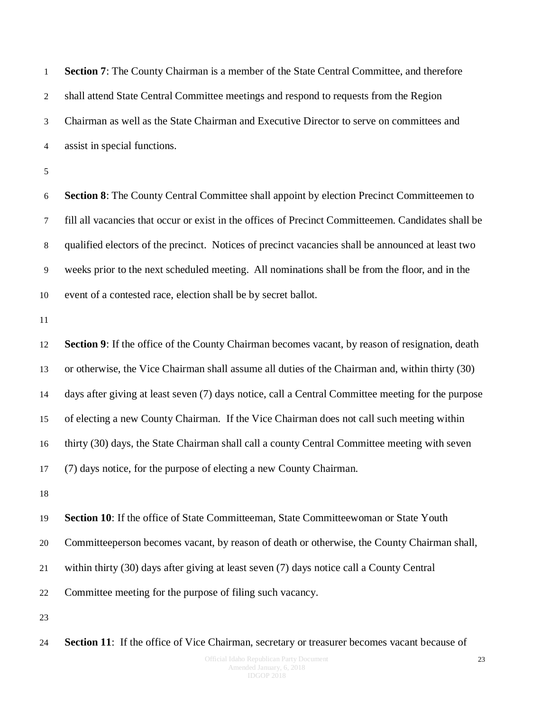**Section 7**: The County Chairman is a member of the State Central Committee, and therefore shall attend State Central Committee meetings and respond to requests from the Region Chairman as well as the State Chairman and Executive Director to serve on committees and assist in special functions.

 **Section 8**: The County Central Committee shall appoint by election Precinct Committeemen to fill all vacancies that occur or exist in the offices of Precinct Committeemen. Candidates shall be qualified electors of the precinct. Notices of precinct vacancies shall be announced at least two weeks prior to the next scheduled meeting. All nominations shall be from the floor, and in the event of a contested race, election shall be by secret ballot.

 **Section 9**: If the office of the County Chairman becomes vacant, by reason of resignation, death or otherwise, the Vice Chairman shall assume all duties of the Chairman and, within thirty (30) days after giving at least seven (7) days notice, call a Central Committee meeting for the purpose of electing a new County Chairman. If the Vice Chairman does not call such meeting within thirty (30) days, the State Chairman shall call a county Central Committee meeting with seven (7) days notice, for the purpose of electing a new County Chairman.

 **Section 10**: If the office of State Committeeman, State Committeewoman or State Youth Committeeperson becomes vacant, by reason of death or otherwise, the County Chairman shall, within thirty (30) days after giving at least seven (7) days notice call a County Central Committee meeting for the purpose of filing such vacancy.

**Section 11**: If the office of Vice Chairman, secretary or treasurer becomes vacant because of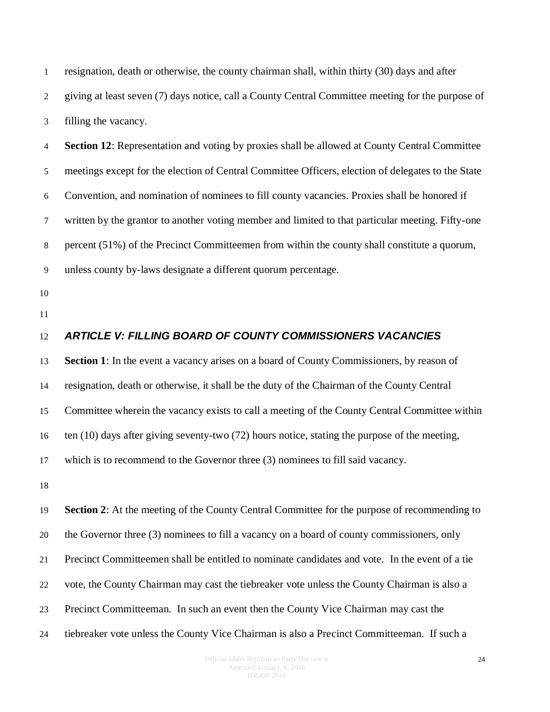resignation, death or otherwise, the county chairman shall, within thirty (30) days and after giving at least seven (7) days notice, call a County Central Committee meeting for the purpose of filling the vacancy.

 **Section 12**: Representation and voting by proxies shall be allowed at County Central Committee meetings except for the election of Central Committee Officers, election of delegates to the State Convention, and nomination of nominees to fill county vacancies. Proxies shall be honored if written by the grantor to another voting member and limited to that particular meeting. Fifty-one percent (51%) of the Precinct Committeemen from within the county shall constitute a quorum, unless county by-laws designate a different quorum percentage.

- 
- 

#### <span id="page-23-0"></span>*ARTICLE V: FILLING BOARD OF COUNTY COMMISSIONERS VACANCIES*

 **Section 1**: In the event a vacancy arises on a board of County Commissioners, by reason of resignation, death or otherwise, it shall be the duty of the Chairman of the County Central Committee wherein the vacancy exists to call a meeting of the County Central Committee within ten (10) days after giving seventy-two (72) hours notice, stating the purpose of the meeting,

which is to recommend to the Governor three (3) nominees to fill said vacancy.

 **Section 2**: At the meeting of the County Central Committee for the purpose of recommending to the Governor three (3) nominees to fill a vacancy on a board of county commissioners, only Precinct Committeemen shall be entitled to nominate candidates and vote. In the event of a tie vote, the County Chairman may cast the tiebreaker vote unless the County Chairman is also a Precinct Committeeman. In such an event then the County Vice Chairman may cast the tiebreaker vote unless the County Vice Chairman is also a Precinct Committeeman. If such a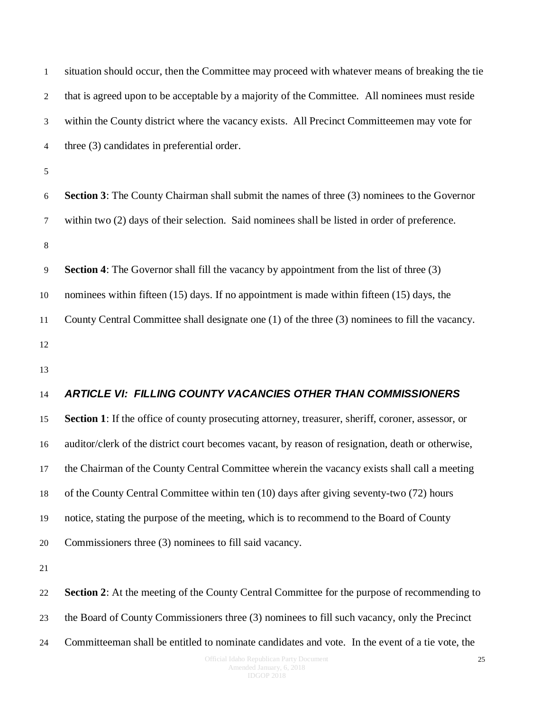| 1       | situation should occur, then the Committee may proceed with whatever means of breaking the tie      |
|---------|-----------------------------------------------------------------------------------------------------|
| 2       | that is agreed upon to be acceptable by a majority of the Committee. All nominees must reside       |
| 3       | within the County district where the vacancy exists. All Precinct Committeemen may vote for         |
| 4       | three (3) candidates in preferential order.                                                         |
| 5       |                                                                                                     |
| 6       | <b>Section 3:</b> The County Chairman shall submit the names of three (3) nominees to the Governor  |
| 7       | within two (2) days of their selection. Said nominees shall be listed in order of preference.       |
| $\,8\,$ |                                                                                                     |
| 9       | <b>Section 4:</b> The Governor shall fill the vacancy by appointment from the list of three (3)     |
| 10      | nominees within fifteen (15) days. If no appointment is made within fifteen (15) days, the          |
| 11      | County Central Committee shall designate one (1) of the three (3) nominees to fill the vacancy.     |
| 12      |                                                                                                     |
| 13      |                                                                                                     |
| 14      | <b>ARTICLE VI: FILLING COUNTY VACANCIES OTHER THAN COMMISSIONERS</b>                                |
| 15      | Section 1: If the office of county prosecuting attorney, treasurer, sheriff, coroner, assessor, or  |
| 16      | auditor/clerk of the district court becomes vacant, by reason of resignation, death or otherwise,   |
| 17      | the Chairman of the County Central Committee wherein the vacancy exists shall call a meeting        |
| 18      | of the County Central Committee within ten (10) days after giving seventy-two (72) hours            |
| 19      | notice, stating the purpose of the meeting, which is to recommend to the Board of County            |
| 20      | Commissioners three (3) nominees to fill said vacancy.                                              |
| 21      |                                                                                                     |
| 22      | <b>Section 2:</b> At the meeting of the County Central Committee for the purpose of recommending to |
| 23      | the Board of County Commissioners three (3) nominees to fill such vacancy, only the Precinct        |
| 24      | Committeeman shall be entitled to nominate candidates and vote. In the event of a tie vote, the     |
|         |                                                                                                     |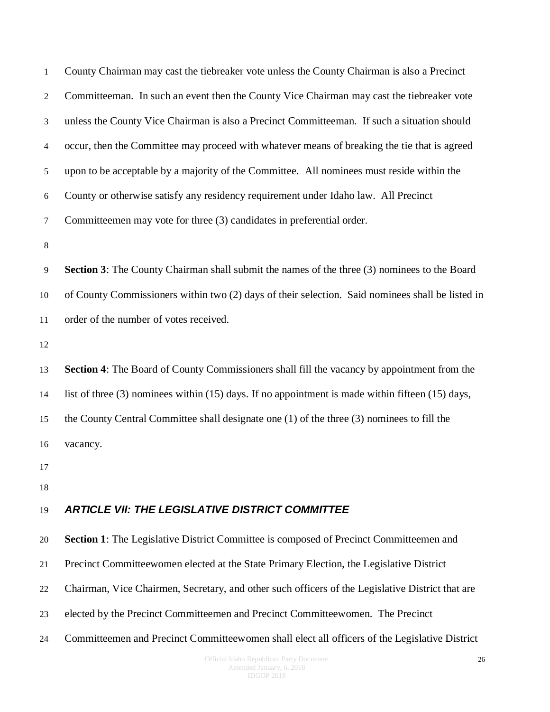<span id="page-25-0"></span>

| $\mathbf{1}$   | County Chairman may cast the tiebreaker vote unless the County Chairman is also a Precinct             |
|----------------|--------------------------------------------------------------------------------------------------------|
| $\overline{2}$ | Committeeman. In such an event then the County Vice Chairman may cast the tiebreaker vote              |
| 3              | unless the County Vice Chairman is also a Precinct Committeeman. If such a situation should            |
| $\overline{4}$ | occur, then the Committee may proceed with whatever means of breaking the tie that is agreed           |
| $\sqrt{5}$     | upon to be acceptable by a majority of the Committee. All nominees must reside within the              |
| 6              | County or otherwise satisfy any residency requirement under Idaho law. All Precinct                    |
| $\tau$         | Committeemen may vote for three (3) candidates in preferential order.                                  |
| $\,8\,$        |                                                                                                        |
| 9              | Section 3: The County Chairman shall submit the names of the three (3) nominees to the Board           |
| 10             | of County Commissioners within two (2) days of their selection. Said nominees shall be listed in       |
| 11             | order of the number of votes received.                                                                 |
| 12             |                                                                                                        |
| 13             | Section 4: The Board of County Commissioners shall fill the vacancy by appointment from the            |
| 14             | list of three $(3)$ nominees within $(15)$ days. If no appointment is made within fifteen $(15)$ days, |
| 15             | the County Central Committee shall designate one (1) of the three (3) nominees to fill the             |
| 16             | vacancy.                                                                                               |
| 17             |                                                                                                        |
| 18             |                                                                                                        |
| 19             | <b>ARTICLE VII: THE LEGISLATIVE DISTRICT COMMITTEE</b>                                                 |
| 20             | <b>Section 1:</b> The Legislative District Committee is composed of Precinct Committeemen and          |
| 21             | Precinct Committeewomen elected at the State Primary Election, the Legislative District                |
| 22             | Chairman, Vice Chairmen, Secretary, and other such officers of the Legislative District that are       |
| 23             | elected by the Precinct Committeemen and Precinct Committeewomen. The Precinct                         |
| 24             | Committeemen and Precinct Committeewomen shall elect all officers of the Legislative District          |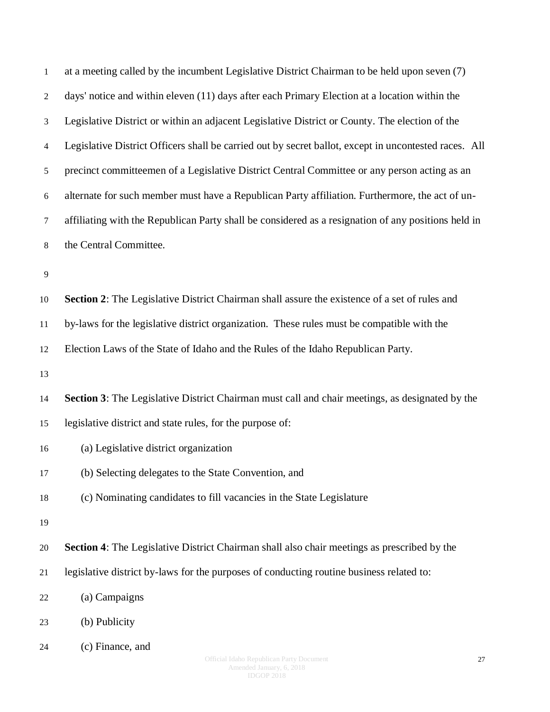| $\mathbf{1}$            | at a meeting called by the incumbent Legislative District Chairman to be held upon seven (7)          |
|-------------------------|-------------------------------------------------------------------------------------------------------|
| 2                       | days' notice and within eleven (11) days after each Primary Election at a location within the         |
| 3                       | Legislative District or within an adjacent Legislative District or County. The election of the        |
| $\overline{\mathbf{4}}$ | Legislative District Officers shall be carried out by secret ballot, except in uncontested races. All |
| 5                       | precinct committeemen of a Legislative District Central Committee or any person acting as an          |
| 6                       | alternate for such member must have a Republican Party affiliation. Furthermore, the act of un-       |
| $\tau$                  | affiliating with the Republican Party shall be considered as a resignation of any positions held in   |
| 8                       | the Central Committee.                                                                                |
| 9                       |                                                                                                       |
| 10                      | Section 2: The Legislative District Chairman shall assure the existence of a set of rules and         |
| 11                      | by-laws for the legislative district organization. These rules must be compatible with the            |
| 12                      | Election Laws of the State of Idaho and the Rules of the Idaho Republican Party.                      |
| 13                      |                                                                                                       |
| 14                      | Section 3: The Legislative District Chairman must call and chair meetings, as designated by the       |
| 15                      | legislative district and state rules, for the purpose of:                                             |
| 16                      | (a) Legislative district organization                                                                 |
| 17                      | (b) Selecting delegates to the State Convention, and                                                  |
| 18                      | (c) Nominating candidates to fill vacancies in the State Legislature                                  |
| 19                      |                                                                                                       |
| 20                      | Section 4: The Legislative District Chairman shall also chair meetings as prescribed by the           |
| 21                      | legislative district by-laws for the purposes of conducting routine business related to:              |
| 22                      | (a) Campaigns                                                                                         |
| 23                      | (b) Publicity                                                                                         |
| 24                      | (c) Finance, and<br>Official Idaho Republican Party Document<br>27                                    |

Amended January, 6, 2018 IDGOP 2018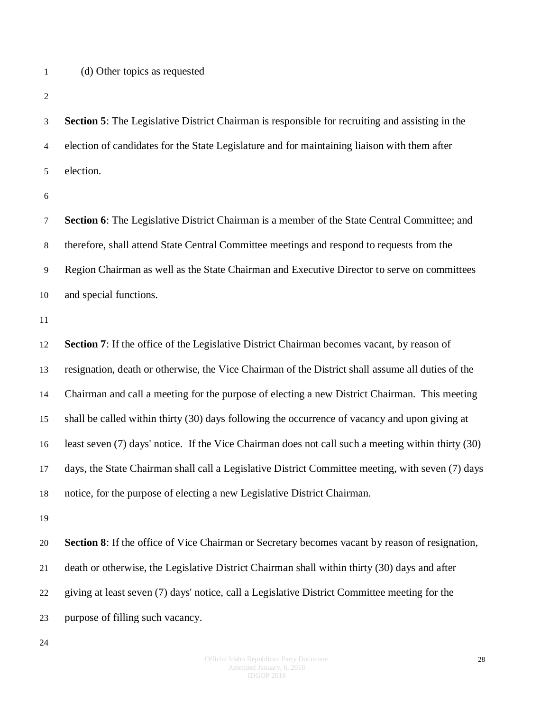(d) Other topics as requested

 **Section 5**: The Legislative District Chairman is responsible for recruiting and assisting in the election of candidates for the State Legislature and for maintaining liaison with them after election.

 **Section 6**: The Legislative District Chairman is a member of the State Central Committee; and therefore, shall attend State Central Committee meetings and respond to requests from the Region Chairman as well as the State Chairman and Executive Director to serve on committees and special functions.

 **Section 7**: If the office of the Legislative District Chairman becomes vacant, by reason of resignation, death or otherwise, the Vice Chairman of the District shall assume all duties of the Chairman and call a meeting for the purpose of electing a new District Chairman. This meeting shall be called within thirty (30) days following the occurrence of vacancy and upon giving at least seven (7) days' notice. If the Vice Chairman does not call such a meeting within thirty (30) days, the State Chairman shall call a Legislative District Committee meeting, with seven (7) days notice, for the purpose of electing a new Legislative District Chairman.

 **Section 8**: If the office of Vice Chairman or Secretary becomes vacant by reason of resignation, death or otherwise, the Legislative District Chairman shall within thirty (30) days and after giving at least seven (7) days' notice, call a Legislative District Committee meeting for the purpose of filling such vacancy.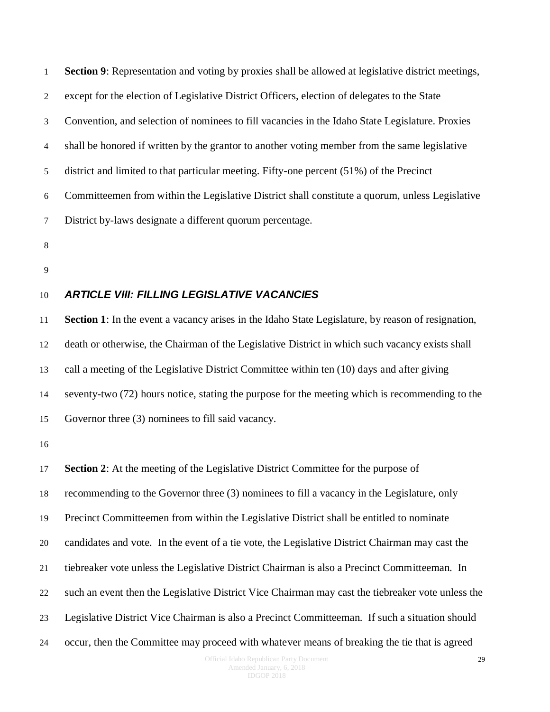**Section 9**: Representation and voting by proxies shall be allowed at legislative district meetings, except for the election of Legislative District Officers, election of delegates to the State Convention, and selection of nominees to fill vacancies in the Idaho State Legislature. Proxies shall be honored if written by the grantor to another voting member from the same legislative district and limited to that particular meeting. Fifty-one percent (51%) of the Precinct Committeemen from within the Legislative District shall constitute a quorum, unless Legislative District by-laws designate a different quorum percentage.

- 
- 

#### <span id="page-28-0"></span>*ARTICLE VIII: FILLING LEGISLATIVE VACANCIES*

 **Section 1**: In the event a vacancy arises in the Idaho State Legislature, by reason of resignation, death or otherwise, the Chairman of the Legislative District in which such vacancy exists shall call a meeting of the Legislative District Committee within ten (10) days and after giving seventy-two (72) hours notice, stating the purpose for the meeting which is recommending to the Governor three (3) nominees to fill said vacancy.

 **Section 2**: At the meeting of the Legislative District Committee for the purpose of recommending to the Governor three (3) nominees to fill a vacancy in the Legislature, only Precinct Committeemen from within the Legislative District shall be entitled to nominate candidates and vote. In the event of a tie vote, the Legislative District Chairman may cast the tiebreaker vote unless the Legislative District Chairman is also a Precinct Committeeman. In such an event then the Legislative District Vice Chairman may cast the tiebreaker vote unless the Legislative District Vice Chairman is also a Precinct Committeeman. If such a situation should occur, then the Committee may proceed with whatever means of breaking the tie that is agreed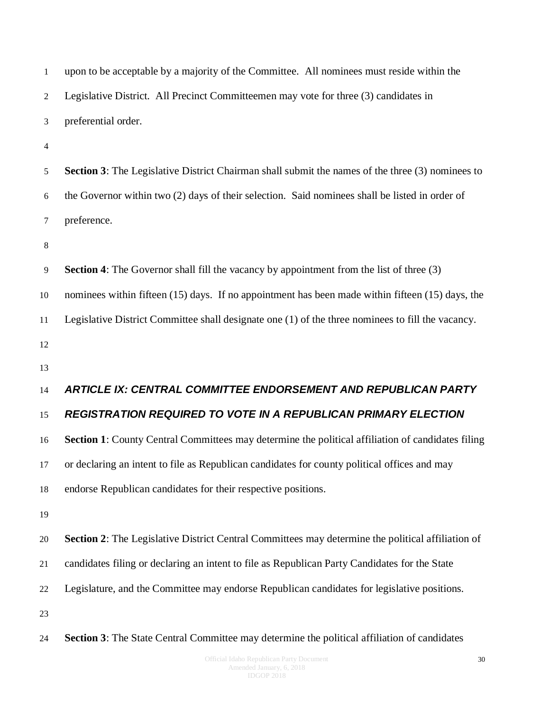<span id="page-29-0"></span>

| $\mathbf{1}$   | upon to be acceptable by a majority of the Committee. All nominees must reside within the                |
|----------------|----------------------------------------------------------------------------------------------------------|
| $\overline{2}$ | Legislative District. All Precinct Committeemen may vote for three (3) candidates in                     |
| 3              | preferential order.                                                                                      |
| $\overline{4}$ |                                                                                                          |
| $\sqrt{5}$     | <b>Section 3:</b> The Legislative District Chairman shall submit the names of the three (3) nominees to  |
| 6              | the Governor within two (2) days of their selection. Said nominees shall be listed in order of           |
| $\tau$         | preference.                                                                                              |
| $\,8\,$        |                                                                                                          |
| $\overline{9}$ | <b>Section 4:</b> The Governor shall fill the vacancy by appointment from the list of three (3)          |
| 10             | nominees within fifteen (15) days. If no appointment has been made within fifteen (15) days, the         |
| 11             | Legislative District Committee shall designate one (1) of the three nominees to fill the vacancy.        |
| 12             |                                                                                                          |
| 13             |                                                                                                          |
| 14             | <b>ARTICLE IX: CENTRAL COMMITTEE ENDORSEMENT AND REPUBLICAN PARTY</b>                                    |
| 15             | <b>REGISTRATION REQUIRED TO VOTE IN A REPUBLICAN PRIMARY ELECTION</b>                                    |
| 16             | <b>Section 1:</b> County Central Committees may determine the political affiliation of candidates filing |
| 17             | or declaring an intent to file as Republican candidates for county political offices and may             |
| 18             | endorse Republican candidates for their respective positions.                                            |
| 19             |                                                                                                          |
| 20             | Section 2: The Legislative District Central Committees may determine the political affiliation of        |
| 21             | candidates filing or declaring an intent to file as Republican Party Candidates for the State            |
| 22             | Legislature, and the Committee may endorse Republican candidates for legislative positions.              |
| 23             |                                                                                                          |
| 24             | <b>Section 3:</b> The State Central Committee may determine the political affiliation of candidates      |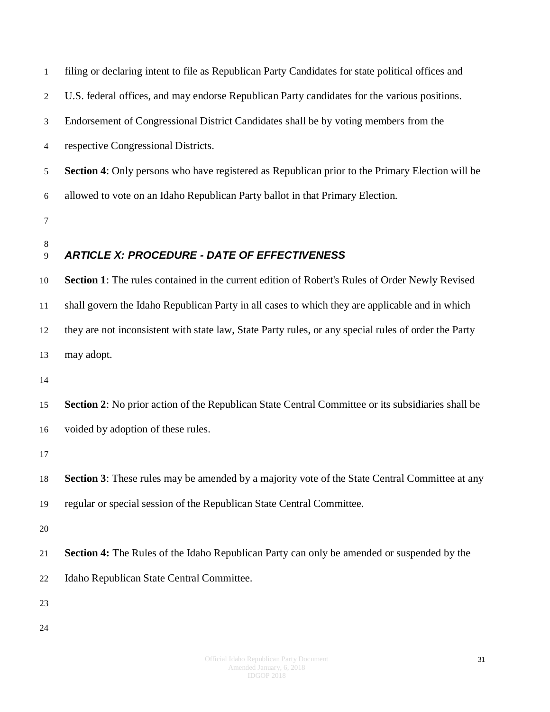<span id="page-30-0"></span>

| $\mathbf{1}$   | filing or declaring intent to file as Republican Party Candidates for state political offices and      |
|----------------|--------------------------------------------------------------------------------------------------------|
| $\overline{2}$ | U.S. federal offices, and may endorse Republican Party candidates for the various positions.           |
| 3              | Endorsement of Congressional District Candidates shall be by voting members from the                   |
| $\overline{4}$ | respective Congressional Districts.                                                                    |
| 5              | <b>Section 4:</b> Only persons who have registered as Republican prior to the Primary Election will be |
| 6              | allowed to vote on an Idaho Republican Party ballot in that Primary Election.                          |
| 7              |                                                                                                        |
| 8<br>9         | <b>ARTICLE X: PROCEDURE - DATE OF EFFECTIVENESS</b>                                                    |
| 10             | Section 1: The rules contained in the current edition of Robert's Rules of Order Newly Revised         |
| 11             | shall govern the Idaho Republican Party in all cases to which they are applicable and in which         |
| 12             | they are not inconsistent with state law, State Party rules, or any special rules of order the Party   |
| 13             | may adopt.                                                                                             |
| 14             |                                                                                                        |
| 15             | Section 2: No prior action of the Republican State Central Committee or its subsidiaries shall be      |
| 16             | voided by adoption of these rules.                                                                     |
| 17             |                                                                                                        |
| 18             | Section 3: These rules may be amended by a majority vote of the State Central Committee at any         |
| 19             | regular or special session of the Republican State Central Committee.                                  |
| 20             |                                                                                                        |
| 21             | <b>Section 4:</b> The Rules of the Idaho Republican Party can only be amended or suspended by the      |
| 22             | Idaho Republican State Central Committee.                                                              |
| 23             |                                                                                                        |
|                |                                                                                                        |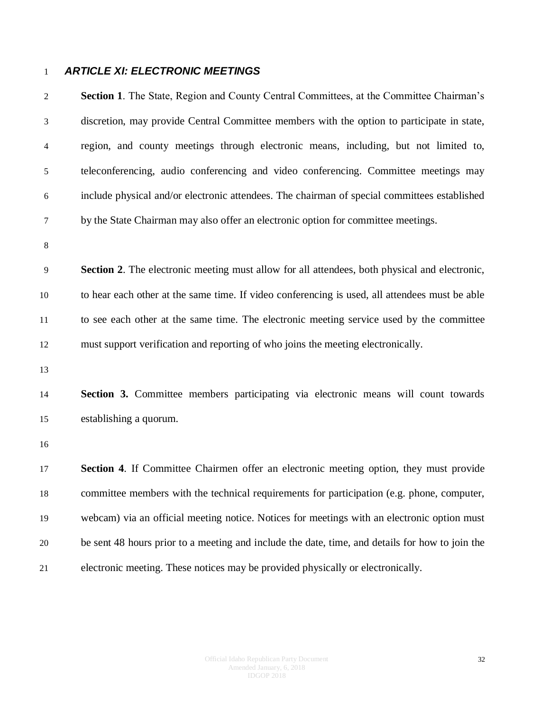#### <span id="page-31-0"></span>*ARTICLE XI: ELECTRONIC MEETINGS*

 **Section 1**. The State, Region and County Central Committees, at the Committee Chairman's discretion, may provide Central Committee members with the option to participate in state, region, and county meetings through electronic means, including, but not limited to, teleconferencing, audio conferencing and video conferencing. Committee meetings may include physical and/or electronic attendees. The chairman of special committees established by the State Chairman may also offer an electronic option for committee meetings. **Section 2**. The electronic meeting must allow for all attendees, both physical and electronic, to hear each other at the same time. If video conferencing is used, all attendees must be able to see each other at the same time. The electronic meeting service used by the committee must support verification and reporting of who joins the meeting electronically. **Section 3.** Committee members participating via electronic means will count towards establishing a quorum. **Section 4**. If Committee Chairmen offer an electronic meeting option, they must provide committee members with the technical requirements for participation (e.g. phone, computer, webcam) via an official meeting notice. Notices for meetings with an electronic option must be sent 48 hours prior to a meeting and include the date, time, and details for how to join the electronic meeting. These notices may be provided physically or electronically.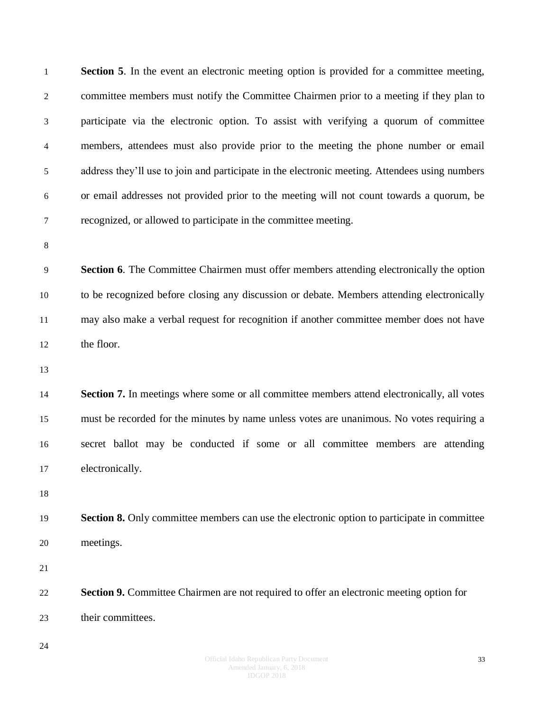**Section 5**. In the event an electronic meeting option is provided for a committee meeting, committee members must notify the Committee Chairmen prior to a meeting if they plan to participate via the electronic option. To assist with verifying a quorum of committee members, attendees must also provide prior to the meeting the phone number or email address they'll use to join and participate in the electronic meeting. Attendees using numbers or email addresses not provided prior to the meeting will not count towards a quorum, be recognized, or allowed to participate in the committee meeting. **Section 6**. The Committee Chairmen must offer members attending electronically the option to be recognized before closing any discussion or debate. Members attending electronically may also make a verbal request for recognition if another committee member does not have the floor. **Section 7.** In meetings where some or all committee members attend electronically, all votes must be recorded for the minutes by name unless votes are unanimous. No votes requiring a secret ballot may be conducted if some or all committee members are attending electronically. **Section 8.** Only committee members can use the electronic option to participate in committee meetings. **Section 9.** Committee Chairmen are not required to offer an electronic meeting option for their committees.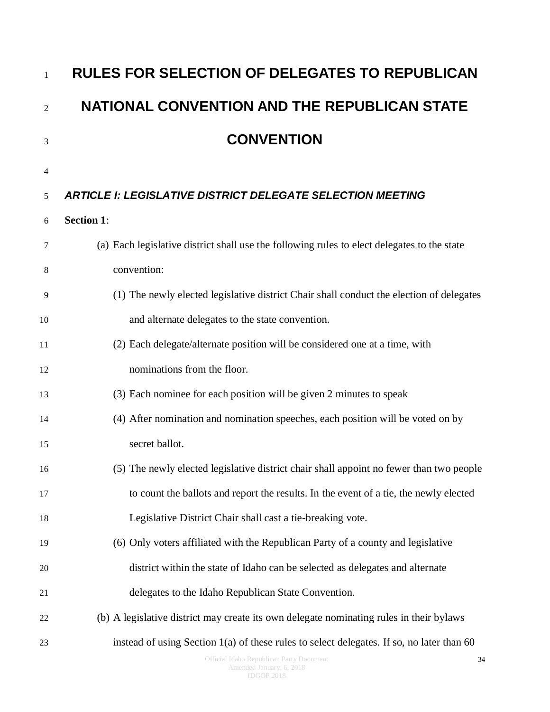<span id="page-33-1"></span><span id="page-33-0"></span>

| $\mathbf{1}$   | <b>RULES FOR SELECTION OF DELEGATES TO REPUBLICAN</b>                                       |
|----------------|---------------------------------------------------------------------------------------------|
| $\overline{2}$ | <b>NATIONAL CONVENTION AND THE REPUBLICAN STATE</b>                                         |
| 3              | <b>CONVENTION</b>                                                                           |
| 4              |                                                                                             |
| 5              | <b>ARTICLE I: LEGISLATIVE DISTRICT DELEGATE SELECTION MEETING</b>                           |
| 6              | <b>Section 1:</b>                                                                           |
| 7              | (a) Each legislative district shall use the following rules to elect delegates to the state |
| 8              | convention:                                                                                 |
| 9              | (1) The newly elected legislative district Chair shall conduct the election of delegates    |
| 10             | and alternate delegates to the state convention.                                            |
| 11             | (2) Each delegate/alternate position will be considered one at a time, with                 |
| 12             | nominations from the floor.                                                                 |
| 13             | (3) Each nominee for each position will be given 2 minutes to speak                         |
| 14             | (4) After nomination and nomination speeches, each position will be voted on by             |
| 15             | secret ballot.                                                                              |
| 16             | (5) The newly elected legislative district chair shall appoint no fewer than two people     |
| 17             | to count the ballots and report the results. In the event of a tie, the newly elected       |
| 18             | Legislative District Chair shall cast a tie-breaking vote.                                  |
| 19             | (6) Only voters affiliated with the Republican Party of a county and legislative            |
| 20             | district within the state of Idaho can be selected as delegates and alternate               |
| 21             | delegates to the Idaho Republican State Convention.                                         |
| 22             | (b) A legislative district may create its own delegate nominating rules in their bylaws     |
| 23             | instead of using Section 1(a) of these rules to select delegates. If so, no later than 60   |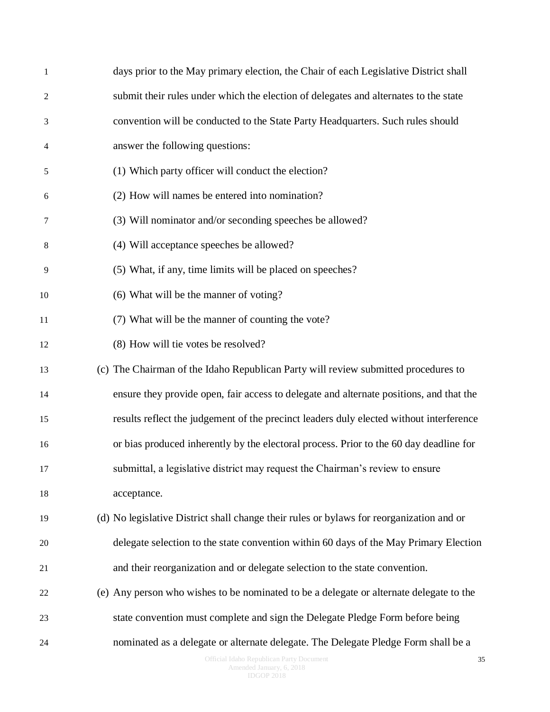| $\mathbf{1}$   | days prior to the May primary election, the Chair of each Legislative District shall     |
|----------------|------------------------------------------------------------------------------------------|
| $\overline{c}$ | submit their rules under which the election of delegates and alternates to the state     |
| 3              | convention will be conducted to the State Party Headquarters. Such rules should          |
| 4              | answer the following questions:                                                          |
| 5              | (1) Which party officer will conduct the election?                                       |
| 6              | (2) How will names be entered into nomination?                                           |
| 7              | (3) Will nominator and/or seconding speeches be allowed?                                 |
| 8              | (4) Will acceptance speeches be allowed?                                                 |
| 9              | (5) What, if any, time limits will be placed on speeches?                                |
| 10             | (6) What will be the manner of voting?                                                   |
| 11             | (7) What will be the manner of counting the vote?                                        |
| 12             | (8) How will tie votes be resolved?                                                      |
| 13             | (c) The Chairman of the Idaho Republican Party will review submitted procedures to       |
| 14             | ensure they provide open, fair access to delegate and alternate positions, and that the  |
| 15             | results reflect the judgement of the precinct leaders duly elected without interference  |
| 16             | or bias produced inherently by the electoral process. Prior to the 60 day deadline for   |
| 17             | submittal, a legislative district may request the Chairman's review to ensure            |
| 18             | acceptance.                                                                              |
| 19             | (d) No legislative District shall change their rules or bylaws for reorganization and or |
| 20             | delegate selection to the state convention within 60 days of the May Primary Election    |
| 21             | and their reorganization and or delegate selection to the state convention.              |
| 22             | (e) Any person who wishes to be nominated to be a delegate or alternate delegate to the  |
| 23             | state convention must complete and sign the Delegate Pledge Form before being            |
| 24             | nominated as a delegate or alternate delegate. The Delegate Pledge Form shall be a       |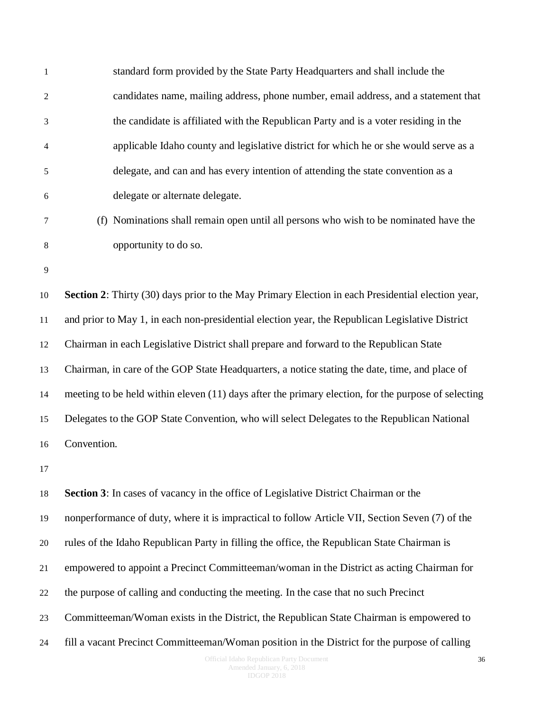| $\mathbf{1}$   | standard form provided by the State Party Headquarters and shall include the                        |
|----------------|-----------------------------------------------------------------------------------------------------|
| $\overline{2}$ | candidates name, mailing address, phone number, email address, and a statement that                 |
| 3              | the candidate is affiliated with the Republican Party and is a voter residing in the                |
| $\overline{4}$ | applicable Idaho county and legislative district for which he or she would serve as a               |
| 5              | delegate, and can and has every intention of attending the state convention as a                    |
| 6              | delegate or alternate delegate.                                                                     |
| 7              | (f) Nominations shall remain open until all persons who wish to be nominated have the               |
| 8              | opportunity to do so.                                                                               |
| 9              |                                                                                                     |
| 10             | Section 2: Thirty (30) days prior to the May Primary Election in each Presidential election year,   |
| 11             | and prior to May 1, in each non-presidential election year, the Republican Legislative District     |
| 12             | Chairman in each Legislative District shall prepare and forward to the Republican State             |
| 13             | Chairman, in care of the GOP State Headquarters, a notice stating the date, time, and place of      |
| 14             | meeting to be held within eleven (11) days after the primary election, for the purpose of selecting |
| 15             | Delegates to the GOP State Convention, who will select Delegates to the Republican National         |
| 16             | Convention.                                                                                         |
| 17             |                                                                                                     |
| 18             | <b>Section 3:</b> In cases of vacancy in the office of Legislative District Chairman or the         |
| 19             | nonperformance of duty, where it is impractical to follow Article VII, Section Seven (7) of the     |
| 20             | rules of the Idaho Republican Party in filling the office, the Republican State Chairman is         |
| 21             | empowered to appoint a Precinct Committeeman/woman in the District as acting Chairman for           |
| 22             | the purpose of calling and conducting the meeting. In the case that no such Precinct                |
| 23             | Committeeman/Woman exists in the District, the Republican State Chairman is empowered to            |
| 24             | fill a vacant Precinct Committeeman/Woman position in the District for the purpose of calling       |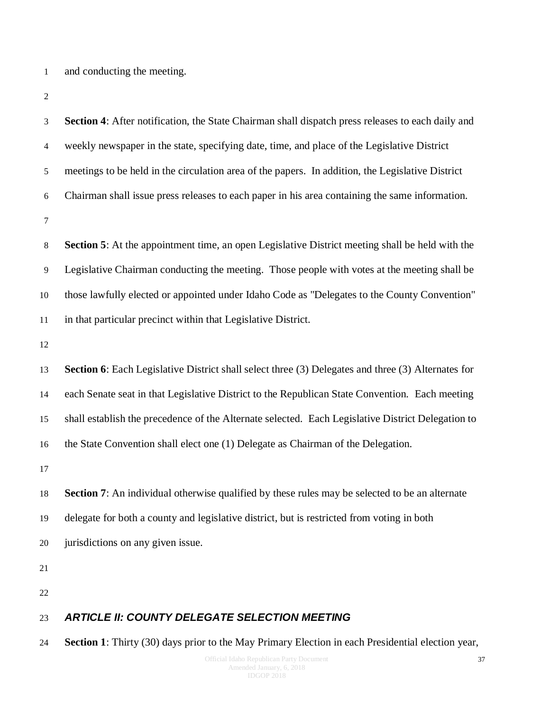and conducting the meeting.

| 3              | Section 4: After notification, the State Chairman shall dispatch press releases to each daily and      |
|----------------|--------------------------------------------------------------------------------------------------------|
| $\overline{4}$ | weekly newspaper in the state, specifying date, time, and place of the Legislative District            |
| 5              | meetings to be held in the circulation area of the papers. In addition, the Legislative District       |
| 6              | Chairman shall issue press releases to each paper in his area containing the same information.         |
| $\tau$         |                                                                                                        |
| 8              | <b>Section 5:</b> At the appointment time, an open Legislative District meeting shall be held with the |
| 9              | Legislative Chairman conducting the meeting. Those people with votes at the meeting shall be           |
| 10             | those lawfully elected or appointed under Idaho Code as "Delegates to the County Convention"           |
| 11             | in that particular precinct within that Legislative District.                                          |
| 12             |                                                                                                        |
| 13             | Section 6: Each Legislative District shall select three (3) Delegates and three (3) Alternates for     |
| 14             | each Senate seat in that Legislative District to the Republican State Convention. Each meeting         |
| 15             | shall establish the precedence of the Alternate selected. Each Legislative District Delegation to      |
| 16             | the State Convention shall elect one (1) Delegate as Chairman of the Delegation.                       |
| 17             |                                                                                                        |
| 18             | <b>Section 7:</b> An individual otherwise qualified by these rules may be selected to be an alternate  |
| 19             | delegate for both a county and legislative district, but is restricted from voting in both             |
| 20             | jurisdictions on any given issue.                                                                      |
| 21             |                                                                                                        |
| 22             |                                                                                                        |
| 23             | <b>ARTICLE II: COUNTY DELEGATE SELECTION MEETING</b>                                                   |

<span id="page-36-0"></span>**Section 1**: Thirty (30) days prior to the May Primary Election in each Presidential election year,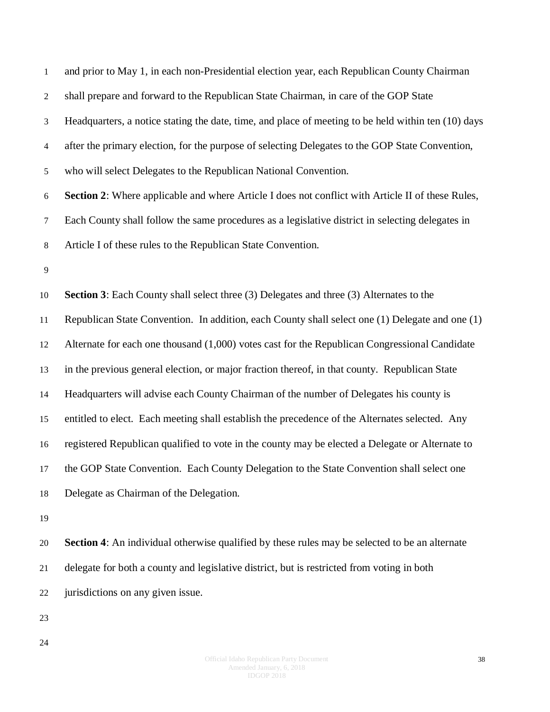| $\mathbf{1}$     | and prior to May 1, in each non-Presidential election year, each Republican County Chairman         |
|------------------|-----------------------------------------------------------------------------------------------------|
| 2                | shall prepare and forward to the Republican State Chairman, in care of the GOP State                |
| 3                | Headquarters, a notice stating the date, time, and place of meeting to be held within ten (10) days |
| $\overline{4}$   | after the primary election, for the purpose of selecting Delegates to the GOP State Convention,     |
| 5                | who will select Delegates to the Republican National Convention.                                    |
| $\boldsymbol{6}$ | Section 2: Where applicable and where Article I does not conflict with Article II of these Rules,   |
| 7                | Each County shall follow the same procedures as a legislative district in selecting delegates in    |
| 8                | Article I of these rules to the Republican State Convention.                                        |
| 9                |                                                                                                     |
| 10               | <b>Section 3:</b> Each County shall select three (3) Delegates and three (3) Alternates to the      |
| 11               | Republican State Convention. In addition, each County shall select one (1) Delegate and one (1)     |
| 12               | Alternate for each one thousand (1,000) votes cast for the Republican Congressional Candidate       |
| 13               | in the previous general election, or major fraction thereof, in that county. Republican State       |
| 14               | Headquarters will advise each County Chairman of the number of Delegates his county is              |
| 15               | entitled to elect. Each meeting shall establish the precedence of the Alternates selected. Any      |
| 16               | registered Republican qualified to vote in the county may be elected a Delegate or Alternate to     |
| 17               | the GOP State Convention. Each County Delegation to the State Convention shall select one           |
| 18               | Delegate as Chairman of the Delegation.                                                             |
| 19               |                                                                                                     |
| 20               | Section 4: An individual otherwise qualified by these rules may be selected to be an alternate      |
| 21               | delegate for both a county and legislative district, but is restricted from voting in both          |
| 22               | jurisdictions on any given issue.                                                                   |
| 23               |                                                                                                     |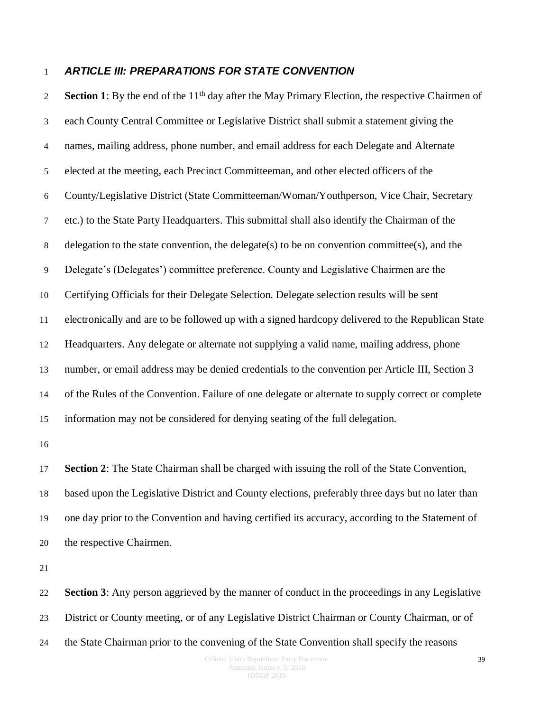#### <span id="page-38-0"></span>*ARTICLE III: PREPARATIONS FOR STATE CONVENTION*

**Section 1**: By the end of the  $11<sup>th</sup>$  day after the May Primary Election, the respective Chairmen of each County Central Committee or Legislative District shall submit a statement giving the names, mailing address, phone number, and email address for each Delegate and Alternate elected at the meeting, each Precinct Committeeman, and other elected officers of the County/Legislative District (State Committeeman/Woman/Youthperson, Vice Chair, Secretary etc.) to the State Party Headquarters. This submittal shall also identify the Chairman of the delegation to the state convention, the delegate(s) to be on convention committee(s), and the Delegate's (Delegates') committee preference. County and Legislative Chairmen are the Certifying Officials for their Delegate Selection. Delegate selection results will be sent electronically and are to be followed up with a signed hardcopy delivered to the Republican State Headquarters. Any delegate or alternate not supplying a valid name, mailing address, phone number, or email address may be denied credentials to the convention per Article III, Section 3 of the Rules of the Convention. Failure of one delegate or alternate to supply correct or complete information may not be considered for denying seating of the full delegation.

 **Section 2**: The State Chairman shall be charged with issuing the roll of the State Convention, based upon the Legislative District and County elections, preferably three days but no later than one day prior to the Convention and having certified its accuracy, according to the Statement of the respective Chairmen.

 **Section 3**: Any person aggrieved by the manner of conduct in the proceedings in any Legislative District or County meeting, or of any Legislative District Chairman or County Chairman, or of

the State Chairman prior to the convening of the State Convention shall specify the reasons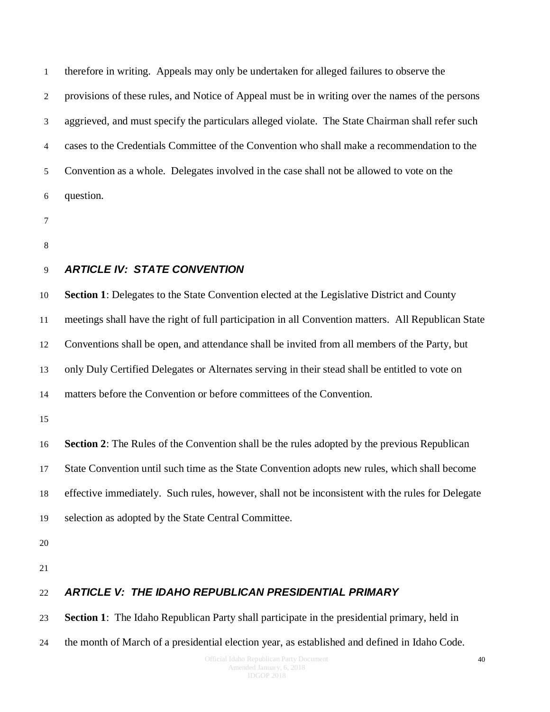therefore in writing. Appeals may only be undertaken for alleged failures to observe the provisions of these rules, and Notice of Appeal must be in writing over the names of the persons aggrieved, and must specify the particulars alleged violate. The State Chairman shall refer such cases to the Credentials Committee of the Convention who shall make a recommendation to the Convention as a whole. Delegates involved in the case shall not be allowed to vote on the question.

- 
- 

#### <span id="page-39-0"></span>*ARTICLE IV: STATE CONVENTION*

 **Section 1**: Delegates to the State Convention elected at the Legislative District and County meetings shall have the right of full participation in all Convention matters. All Republican State Conventions shall be open, and attendance shall be invited from all members of the Party, but only Duly Certified Delegates or Alternates serving in their stead shall be entitled to vote on

matters before the Convention or before committees of the Convention.

**Section 2**: The Rules of the Convention shall be the rules adopted by the previous Republican

State Convention until such time as the State Convention adopts new rules, which shall become

effective immediately. Such rules, however, shall not be inconsistent with the rules for Delegate

- selection as adopted by the State Central Committee.
- 
- 

#### *ARTICLE V: THE IDAHO REPUBLICAN PRESIDENTIAL PRIMARY*

**Section 1**: The Idaho Republican Party shall participate in the presidential primary, held in

the month of March of a presidential election year, as established and defined in Idaho Code.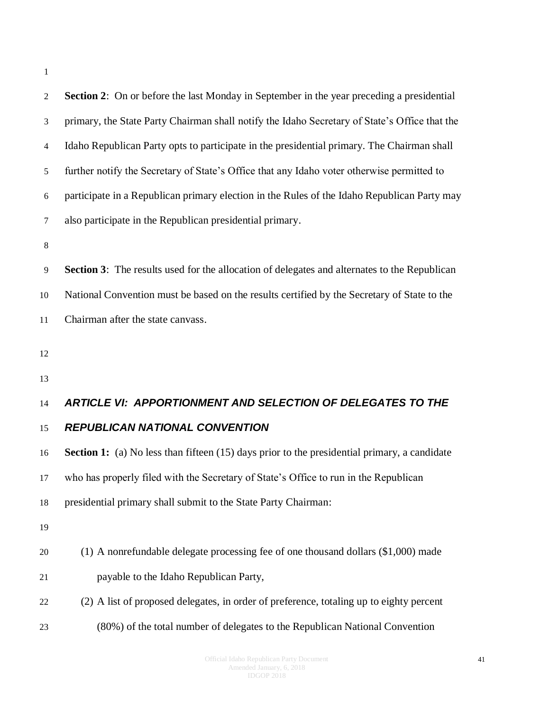| ۰ |
|---|
|   |

| $\overline{2}$ | <b>Section 2:</b> On or before the last Monday in September in the year preceding a presidential    |
|----------------|-----------------------------------------------------------------------------------------------------|
| 3              | primary, the State Party Chairman shall notify the Idaho Secretary of State's Office that the       |
| $\overline{4}$ | Idaho Republican Party opts to participate in the presidential primary. The Chairman shall          |
| 5              | further notify the Secretary of State's Office that any Idaho voter otherwise permitted to          |
| 6              | participate in a Republican primary election in the Rules of the Idaho Republican Party may         |
| $\tau$         | also participate in the Republican presidential primary.                                            |
| $\,8\,$        |                                                                                                     |
| 9              | <b>Section 3:</b> The results used for the allocation of delegates and alternates to the Republican |
| 10             | National Convention must be based on the results certified by the Secretary of State to the         |
| 11             | Chairman after the state canvass.                                                                   |
| 12             |                                                                                                     |
|                |                                                                                                     |
| 13             |                                                                                                     |
| 14             | <b>ARTICLE VI: APPORTIONMENT AND SELECTION OF DELEGATES TO THE</b>                                  |
| 15             | <b>REPUBLICAN NATIONAL CONVENTION</b>                                                               |
| 16             | <b>Section 1:</b> (a) No less than fifteen (15) days prior to the presidential primary, a candidate |
| 17             | who has properly filed with the Secretary of State's Office to run in the Republican                |
| 18             | presidential primary shall submit to the State Party Chairman:                                      |
| 19             |                                                                                                     |
| 20             | (1) A nonrefundable delegate processing fee of one thousand dollars (\$1,000) made                  |
| 21             | payable to the Idaho Republican Party,                                                              |
| 22             | (2) A list of proposed delegates, in order of preference, totaling up to eighty percent             |
| 23             | (80%) of the total number of delegates to the Republican National Convention                        |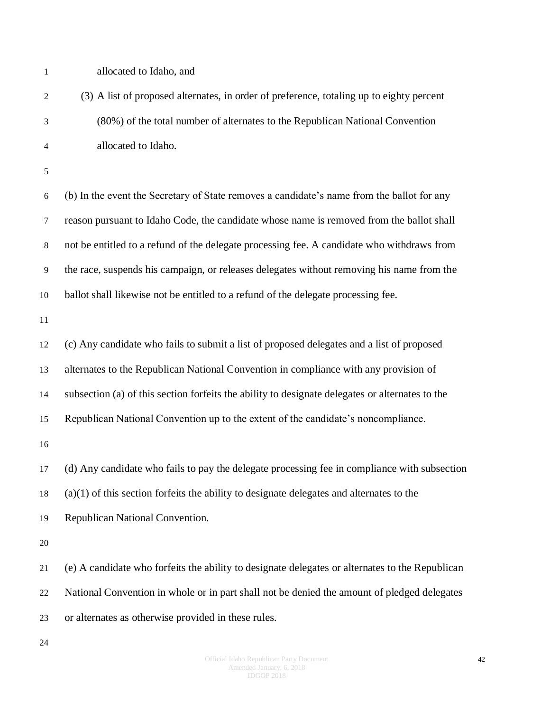- allocated to Idaho, and
- (3) A list of proposed alternates, in order of preference, totaling up to eighty percent (80%) of the total number of alternates to the Republican National Convention allocated to Idaho.
- 

 (b) In the event the Secretary of State removes a candidate's name from the ballot for any reason pursuant to Idaho Code, the candidate whose name is removed from the ballot shall not be entitled to a refund of the delegate processing fee. A candidate who withdraws from the race, suspends his campaign, or releases delegates without removing his name from the ballot shall likewise not be entitled to a refund of the delegate processing fee.

 (c) Any candidate who fails to submit a list of proposed delegates and a list of proposed alternates to the Republican National Convention in compliance with any provision of subsection (a) of this section forfeits the ability to designate delegates or alternates to the Republican National Convention up to the extent of the candidate's noncompliance. (d) Any candidate who fails to pay the delegate processing fee in compliance with subsection (a)(1) of this section forfeits the ability to designate delegates and alternates to the

Republican National Convention.

 (e) A candidate who forfeits the ability to designate delegates or alternates to the Republican National Convention in whole or in part shall not be denied the amount of pledged delegates or alternates as otherwise provided in these rules.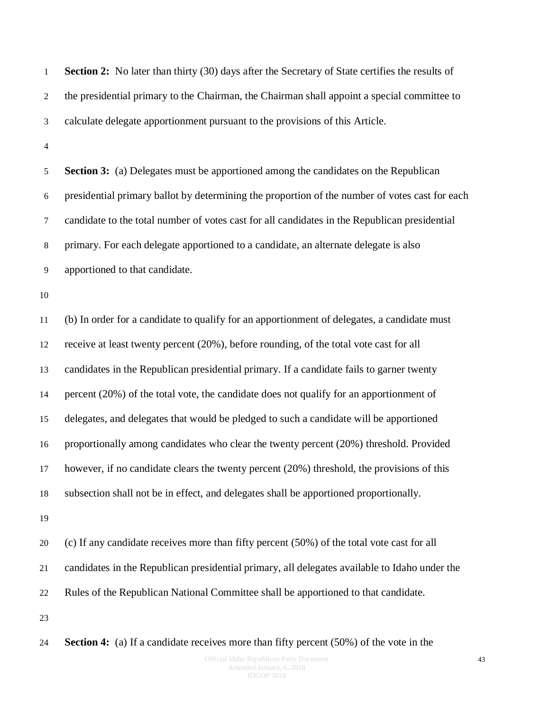1 **Section 2:** No later than thirty (30) days after the Secretary of State certifies the results of the presidential primary to the Chairman, the Chairman shall appoint a special committee to calculate delegate apportionment pursuant to the provisions of this Article.

 **Section 3:** (a) Delegates must be apportioned among the candidates on the Republican presidential primary ballot by determining the proportion of the number of votes cast for each candidate to the total number of votes cast for all candidates in the Republican presidential primary. For each delegate apportioned to a candidate, an alternate delegate is also apportioned to that candidate.

 (b) In order for a candidate to qualify for an apportionment of delegates, a candidate must receive at least twenty percent (20%), before rounding, of the total vote cast for all candidates in the Republican presidential primary. If a candidate fails to garner twenty percent (20%) of the total vote, the candidate does not qualify for an apportionment of delegates, and delegates that would be pledged to such a candidate will be apportioned proportionally among candidates who clear the twenty percent (20%) threshold. Provided however, if no candidate clears the twenty percent (20%) threshold, the provisions of this subsection shall not be in effect, and delegates shall be apportioned proportionally.

 (c) If any candidate receives more than fifty percent (50%) of the total vote cast for all candidates in the Republican presidential primary, all delegates available to Idaho under the Rules of the Republican National Committee shall be apportioned to that candidate.

**Section 4:** (a) If a candidate receives more than fifty percent (50%) of the vote in the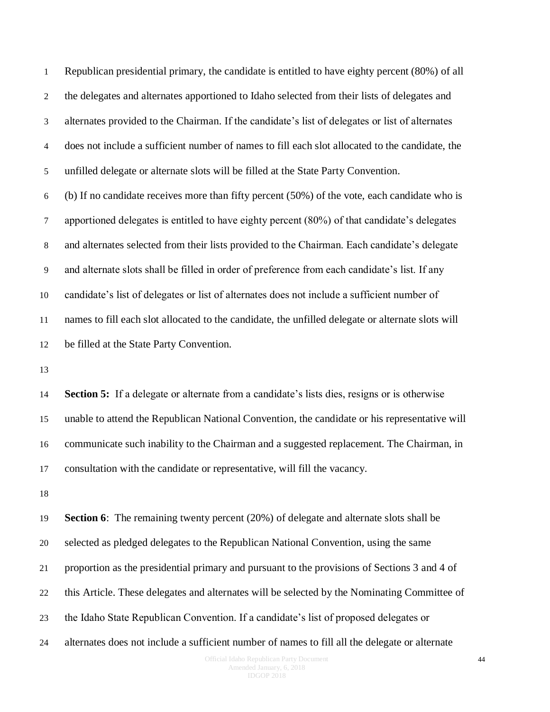Republican presidential primary, the candidate is entitled to have eighty percent (80%) of all the delegates and alternates apportioned to Idaho selected from their lists of delegates and alternates provided to the Chairman. If the candidate's list of delegates or list of alternates does not include a sufficient number of names to fill each slot allocated to the candidate, the unfilled delegate or alternate slots will be filled at the State Party Convention.

 (b) If no candidate receives more than fifty percent (50%) of the vote, each candidate who is apportioned delegates is entitled to have eighty percent (80%) of that candidate's delegates and alternates selected from their lists provided to the Chairman. Each candidate's delegate and alternate slots shall be filled in order of preference from each candidate's list. If any candidate's list of delegates or list of alternates does not include a sufficient number of names to fill each slot allocated to the candidate, the unfilled delegate or alternate slots will be filled at the State Party Convention.

 **Section 5:** If a delegate or alternate from a candidate's lists dies, resigns or is otherwise unable to attend the Republican National Convention, the candidate or his representative will communicate such inability to the Chairman and a suggested replacement. The Chairman, in consultation with the candidate or representative, will fill the vacancy.

 **Section 6**: The remaining twenty percent (20%) of delegate and alternate slots shall be selected as pledged delegates to the Republican National Convention, using the same proportion as the presidential primary and pursuant to the provisions of Sections 3 and 4 of this Article. These delegates and alternates will be selected by the Nominating Committee of the Idaho State Republican Convention. If a candidate's list of proposed delegates or alternates does not include a sufficient number of names to fill all the delegate or alternate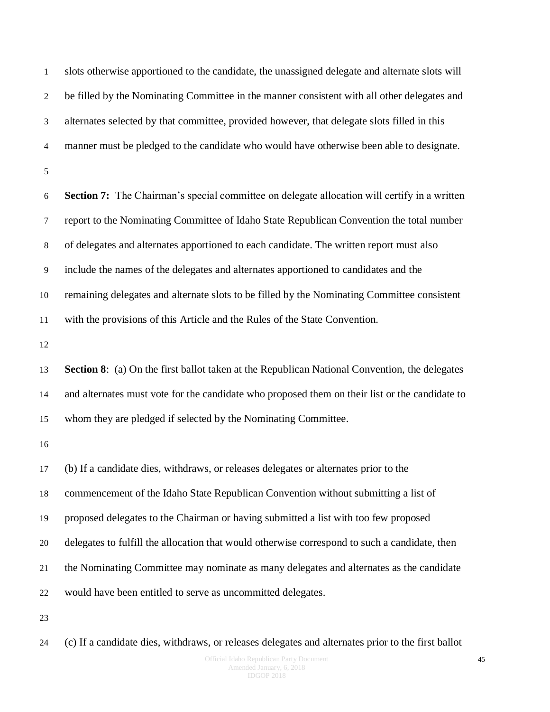slots otherwise apportioned to the candidate, the unassigned delegate and alternate slots will be filled by the Nominating Committee in the manner consistent with all other delegates and alternates selected by that committee, provided however, that delegate slots filled in this manner must be pledged to the candidate who would have otherwise been able to designate. **Section 7:** The Chairman's special committee on delegate allocation will certify in a written report to the Nominating Committee of Idaho State Republican Convention the total number of delegates and alternates apportioned to each candidate. The written report must also include the names of the delegates and alternates apportioned to candidates and the remaining delegates and alternate slots to be filled by the Nominating Committee consistent with the provisions of this Article and the Rules of the State Convention. **Section 8**: (a) On the first ballot taken at the Republican National Convention, the delegates and alternates must vote for the candidate who proposed them on their list or the candidate to whom they are pledged if selected by the Nominating Committee. (b) If a candidate dies, withdraws, or releases delegates or alternates prior to the commencement of the Idaho State Republican Convention without submitting a list of proposed delegates to the Chairman or having submitted a list with too few proposed delegates to fulfill the allocation that would otherwise correspond to such a candidate, then the Nominating Committee may nominate as many delegates and alternates as the candidate would have been entitled to serve as uncommitted delegates. 

(c) If a candidate dies, withdraws, or releases delegates and alternates prior to the first ballot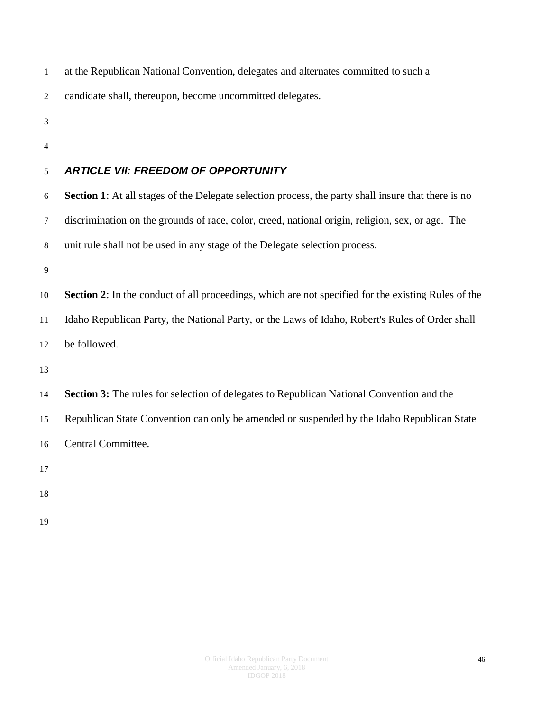at the Republican National Convention, delegates and alternates committed to such a

candidate shall, thereupon, become uncommitted delegates.

- 
- 

#### <span id="page-45-0"></span>*ARTICLE VII: FREEDOM OF OPPORTUNITY*

 **Section 1**: At all stages of the Delegate selection process, the party shall insure that there is no discrimination on the grounds of race, color, creed, national origin, religion, sex, or age. The unit rule shall not be used in any stage of the Delegate selection process.

 **Section 2**: In the conduct of all proceedings, which are not specified for the existing Rules of the Idaho Republican Party, the National Party, or the Laws of Idaho, Robert's Rules of Order shall be followed.

 **Section 3:** The rules for selection of delegates to Republican National Convention and the Republican State Convention can only be amended or suspended by the Idaho Republican State Central Committee.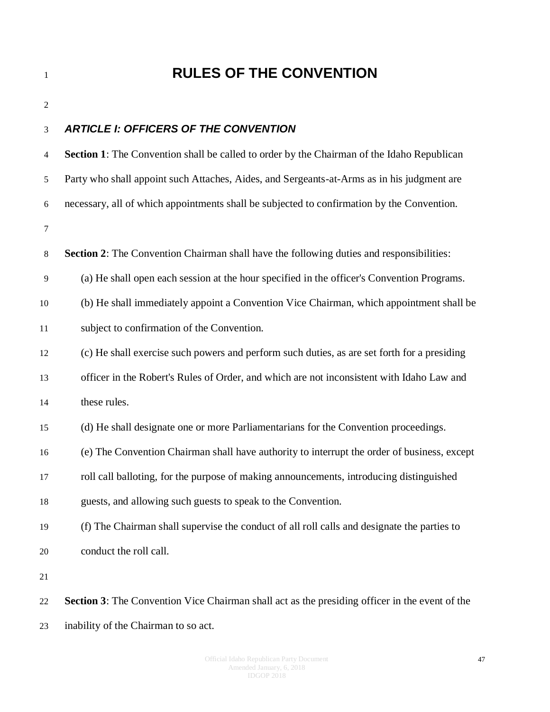### <span id="page-46-0"></span>**RULES OF THE CONVENTION**

| ۰. |
|----|
| I  |
|    |
|    |

#### <span id="page-46-1"></span>*ARTICLE I: OFFICERS OF THE CONVENTION*

| 4  | <b>Section 1:</b> The Convention shall be called to order by the Chairman of the Idaho Republican     |
|----|-------------------------------------------------------------------------------------------------------|
| 5  | Party who shall appoint such Attaches, Aides, and Sergeants-at-Arms as in his judgment are            |
| 6  | necessary, all of which appointments shall be subjected to confirmation by the Convention.            |
| 7  |                                                                                                       |
| 8  | <b>Section 2:</b> The Convention Chairman shall have the following duties and responsibilities:       |
| 9  | (a) He shall open each session at the hour specified in the officer's Convention Programs.            |
| 10 | (b) He shall immediately appoint a Convention Vice Chairman, which appointment shall be               |
| 11 | subject to confirmation of the Convention.                                                            |
| 12 | (c) He shall exercise such powers and perform such duties, as are set forth for a presiding           |
| 13 | officer in the Robert's Rules of Order, and which are not inconsistent with Idaho Law and             |
| 14 | these rules.                                                                                          |
| 15 | (d) He shall designate one or more Parliamentarians for the Convention proceedings.                   |
| 16 | (e) The Convention Chairman shall have authority to interrupt the order of business, except           |
| 17 | roll call balloting, for the purpose of making announcements, introducing distinguished               |
| 18 | guests, and allowing such guests to speak to the Convention.                                          |
| 19 | (f) The Chairman shall supervise the conduct of all roll calls and designate the parties to           |
| 20 | conduct the roll call.                                                                                |
| 21 |                                                                                                       |
| 22 | <b>Section 3:</b> The Convention Vice Chairman shall act as the presiding officer in the event of the |

inability of the Chairman to so act.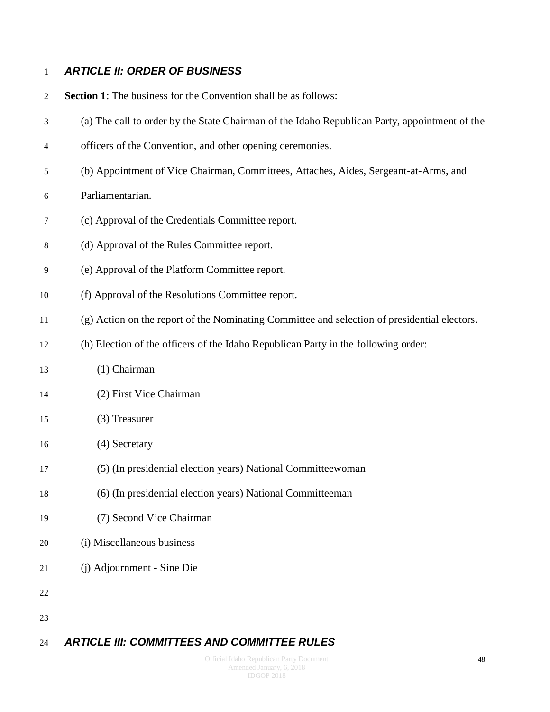#### <span id="page-47-0"></span>*ARTICLE II: ORDER OF BUSINESS*

**Section 1**: The business for the Convention shall be as follows:

- (a) The call to order by the State Chairman of the Idaho Republican Party, appointment of the
- officers of the Convention, and other opening ceremonies.
- (b) Appointment of Vice Chairman, Committees, Attaches, Aides, Sergeant-at-Arms, and
- Parliamentarian.
- (c) Approval of the Credentials Committee report.
- (d) Approval of the Rules Committee report.
- (e) Approval of the Platform Committee report.
- (f) Approval of the Resolutions Committee report.
- (g) Action on the report of the Nominating Committee and selection of presidential electors.
- (h) Election of the officers of the Idaho Republican Party in the following order:
- (1) Chairman
- (2) First Vice Chairman
- (3) Treasurer
- (4) Secretary
- (5) (In presidential election years) National Committeewoman
- (6) (In presidential election years) National Committeeman
- (7) Second Vice Chairman
- (i) Miscellaneous business
- (j) Adjournment Sine Die
- 
- 

#### <span id="page-47-1"></span>*ARTICLE III: COMMITTEES AND COMMITTEE RULES*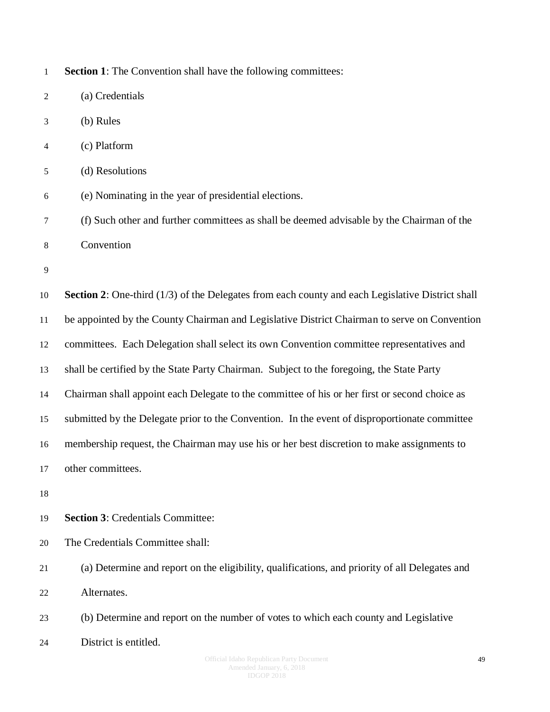| $\mathbf{1}$            | Section 1: The Convention shall have the following committees:                                            |
|-------------------------|-----------------------------------------------------------------------------------------------------------|
| $\mathbf{2}$            | (a) Credentials                                                                                           |
| 3                       | (b) Rules                                                                                                 |
| $\overline{\mathbf{4}}$ | (c) Platform                                                                                              |
| 5                       | (d) Resolutions                                                                                           |
| 6                       | (e) Nominating in the year of presidential elections.                                                     |
| 7                       | (f) Such other and further committees as shall be deemed advisable by the Chairman of the                 |
| 8                       | Convention                                                                                                |
| 9                       |                                                                                                           |
| 10                      | <b>Section 2:</b> One-third $(1/3)$ of the Delegates from each county and each Legislative District shall |
| 11                      | be appointed by the County Chairman and Legislative District Chairman to serve on Convention              |
| 12                      | committees. Each Delegation shall select its own Convention committee representatives and                 |
| 13                      | shall be certified by the State Party Chairman. Subject to the foregoing, the State Party                 |
| 14                      | Chairman shall appoint each Delegate to the committee of his or her first or second choice as             |
| 15                      | submitted by the Delegate prior to the Convention. In the event of disproportionate committee             |
| 16                      | membership request, the Chairman may use his or her best discretion to make assignments to                |
| 17                      | other committees                                                                                          |
| 18                      |                                                                                                           |
| 19                      | <b>Section 3: Credentials Committee:</b>                                                                  |
| 20                      | The Credentials Committee shall:                                                                          |
| 21                      | (a) Determine and report on the eligibility, qualifications, and priority of all Delegates and            |
| 22                      | Alternates.                                                                                               |
| 23                      | (b) Determine and report on the number of votes to which each county and Legislative                      |
| 24                      | District is entitled.                                                                                     |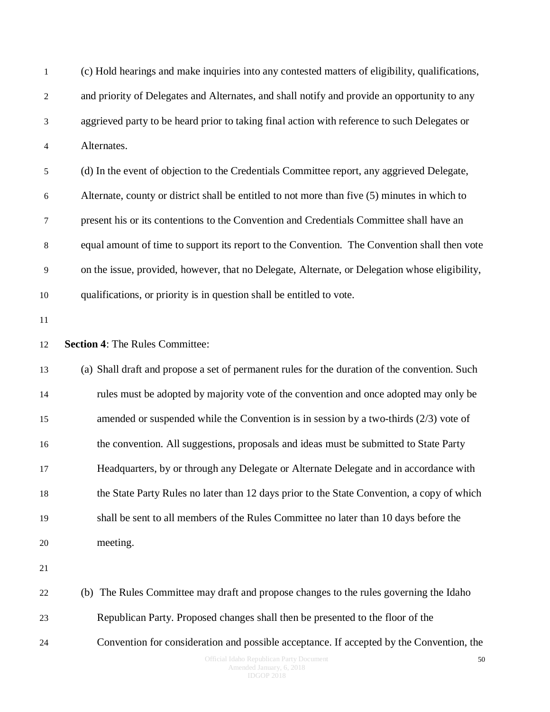| $\mathbf{1}$            | (c) Hold hearings and make inquiries into any contested matters of eligibility, qualifications, |
|-------------------------|-------------------------------------------------------------------------------------------------|
| 2                       | and priority of Delegates and Alternates, and shall notify and provide an opportunity to any    |
| 3                       | aggrieved party to be heard prior to taking final action with reference to such Delegates or    |
| $\overline{\mathbf{4}}$ | Alternates.                                                                                     |
| 5                       | (d) In the event of objection to the Credentials Committee report, any aggrieved Delegate,      |
| 6                       | Alternate, county or district shall be entitled to not more than five (5) minutes in which to   |
| 7                       | present his or its contentions to the Convention and Credentials Committee shall have an        |
| $\,8\,$                 | equal amount of time to support its report to the Convention. The Convention shall then vote    |
| 9                       | on the issue, provided, however, that no Delegate, Alternate, or Delegation whose eligibility,  |
| 10                      | qualifications, or priority is in question shall be entitled to vote.                           |
| 11                      |                                                                                                 |
| 12                      | <b>Section 4: The Rules Committee:</b>                                                          |
| 13                      | (a) Shall draft and propose a set of permanent rules for the duration of the convention. Such   |
| 14                      | rules must be adopted by majority vote of the convention and once adopted may only be           |
| 15                      | amended or suspended while the Convention is in session by a two-thirds $(2/3)$ vote of         |
| 16                      | the convention. All suggestions, proposals and ideas must be submitted to State Party           |
| 17                      | Headquarters, by or through any Delegate or Alternate Delegate and in accordance with           |
| 18                      | the State Party Rules no later than 12 days prior to the State Convention, a copy of which      |
| 19                      | shall be sent to all members of the Rules Committee no later than 10 days before the            |
| 20                      | meeting.                                                                                        |
| 21                      |                                                                                                 |
| 22                      | (b) The Rules Committee may draft and propose changes to the rules governing the Idaho          |
| 23                      | Republican Party. Proposed changes shall then be presented to the floor of the                  |
| 24                      | Convention for consideration and possible acceptance. If accepted by the Convention, the        |
|                         |                                                                                                 |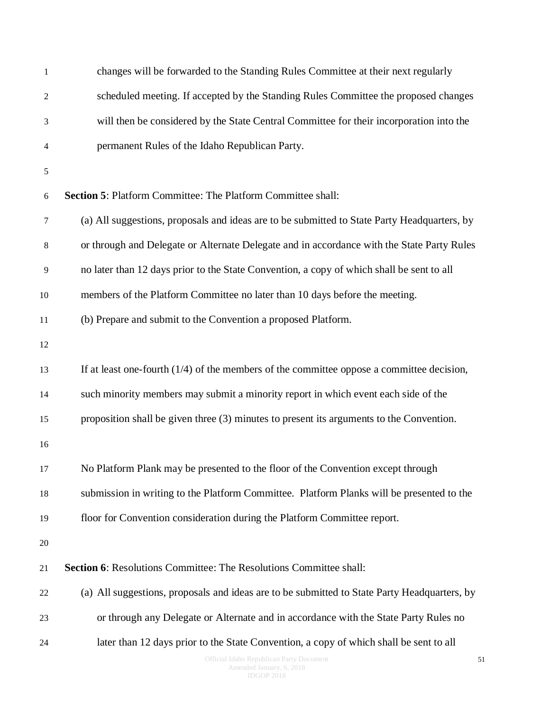| $\,1\,$        | changes will be forwarded to the Standing Rules Committee at their next regularly            |
|----------------|----------------------------------------------------------------------------------------------|
| 2              | scheduled meeting. If accepted by the Standing Rules Committee the proposed changes          |
| 3              | will then be considered by the State Central Committee for their incorporation into the      |
| 4              | permanent Rules of the Idaho Republican Party.                                               |
| 5              |                                                                                              |
| 6              | <b>Section 5: Platform Committee: The Platform Committee shall:</b>                          |
| 7              | (a) All suggestions, proposals and ideas are to be submitted to State Party Headquarters, by |
| 8              | or through and Delegate or Alternate Delegate and in accordance with the State Party Rules   |
| $\overline{9}$ | no later than 12 days prior to the State Convention, a copy of which shall be sent to all    |
| 10             | members of the Platform Committee no later than 10 days before the meeting.                  |
| 11             | (b) Prepare and submit to the Convention a proposed Platform.                                |
| 12             |                                                                                              |
| 13             | If at least one-fourth $(1/4)$ of the members of the committee oppose a committee decision,  |
| 14             | such minority members may submit a minority report in which event each side of the           |
| 15             | proposition shall be given three (3) minutes to present its arguments to the Convention.     |
| 16             |                                                                                              |
| 17             | No Platform Plank may be presented to the floor of the Convention except through             |
| 18             | submission in writing to the Platform Committee. Platform Planks will be presented to the    |
| 19             | floor for Convention consideration during the Platform Committee report.                     |
| $20\,$         |                                                                                              |
| 21             | Section 6: Resolutions Committee: The Resolutions Committee shall:                           |
| 22             | (a) All suggestions, proposals and ideas are to be submitted to State Party Headquarters, by |
| 23             | or through any Delegate or Alternate and in accordance with the State Party Rules no         |
| 24             | later than 12 days prior to the State Convention, a copy of which shall be sent to all       |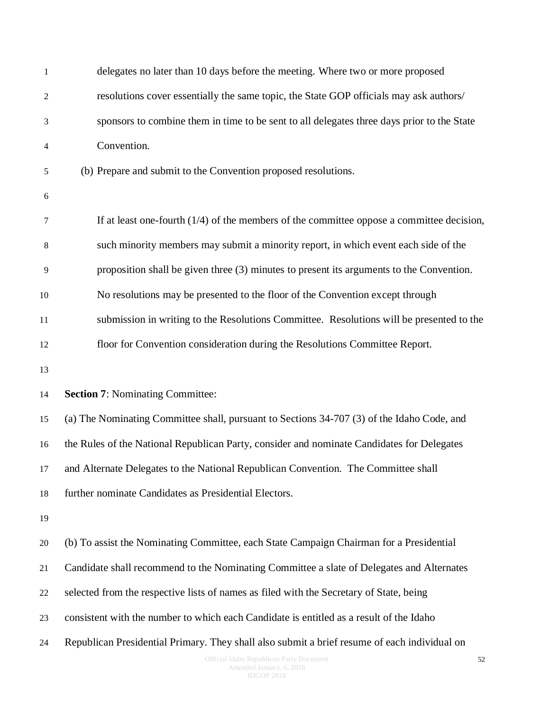| $\mathbf{1}$   | delegates no later than 10 days before the meeting. Where two or more proposed               |
|----------------|----------------------------------------------------------------------------------------------|
| $\sqrt{2}$     | resolutions cover essentially the same topic, the State GOP officials may ask authors/       |
| 3              | sponsors to combine them in time to be sent to all delegates three days prior to the State   |
| 4              | Convention.                                                                                  |
| 5              | (b) Prepare and submit to the Convention proposed resolutions.                               |
| 6              |                                                                                              |
| 7              | If at least one-fourth $(1/4)$ of the members of the committee oppose a committee decision,  |
| $\,8\,$        | such minority members may submit a minority report, in which event each side of the          |
| $\overline{9}$ | proposition shall be given three (3) minutes to present its arguments to the Convention.     |
| 10             | No resolutions may be presented to the floor of the Convention except through                |
| 11             | submission in writing to the Resolutions Committee. Resolutions will be presented to the     |
| 12             | floor for Convention consideration during the Resolutions Committee Report.                  |
| 13             |                                                                                              |
| 14             | <b>Section 7: Nominating Committee:</b>                                                      |
| 15             | (a) The Nominating Committee shall, pursuant to Sections 34-707 (3) of the Idaho Code, and   |
| 16             | the Rules of the National Republican Party, consider and nominate Candidates for Delegates   |
| 17             | and Alternate Delegates to the National Republican Convention. The Committee shall           |
| 18             | further nominate Candidates as Presidential Electors.                                        |
| 19             |                                                                                              |
| 20             | (b) To assist the Nominating Committee, each State Campaign Chairman for a Presidential      |
| 21             | Candidate shall recommend to the Nominating Committee a slate of Delegates and Alternates    |
| 22             | selected from the respective lists of names as filed with the Secretary of State, being      |
| 23             | consistent with the number to which each Candidate is entitled as a result of the Idaho      |
| 24             | Republican Presidential Primary. They shall also submit a brief resume of each individual on |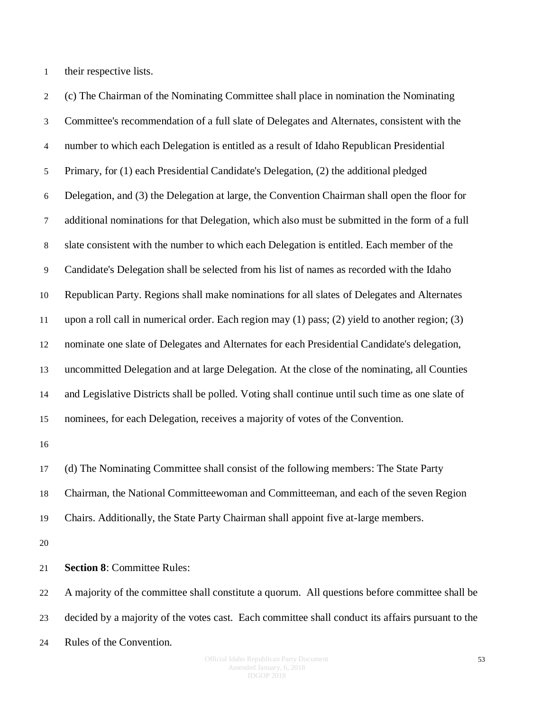their respective lists.

 (c) The Chairman of the Nominating Committee shall place in nomination the Nominating Committee's recommendation of a full slate of Delegates and Alternates, consistent with the number to which each Delegation is entitled as a result of Idaho Republican Presidential Primary, for (1) each Presidential Candidate's Delegation, (2) the additional pledged Delegation, and (3) the Delegation at large, the Convention Chairman shall open the floor for additional nominations for that Delegation, which also must be submitted in the form of a full slate consistent with the number to which each Delegation is entitled. Each member of the Candidate's Delegation shall be selected from his list of names as recorded with the Idaho Republican Party. Regions shall make nominations for all slates of Delegates and Alternates upon a roll call in numerical order. Each region may (1) pass; (2) yield to another region; (3) nominate one slate of Delegates and Alternates for each Presidential Candidate's delegation, uncommitted Delegation and at large Delegation. At the close of the nominating, all Counties and Legislative Districts shall be polled. Voting shall continue until such time as one slate of nominees, for each Delegation, receives a majority of votes of the Convention. (d) The Nominating Committee shall consist of the following members: The State Party Chairman, the National Committeewoman and Committeeman, and each of the seven Region

Chairs. Additionally, the State Party Chairman shall appoint five at-large members.

**Section 8**: Committee Rules:

 A majority of the committee shall constitute a quorum. All questions before committee shall be decided by a majority of the votes cast. Each committee shall conduct its affairs pursuant to the Rules of the Convention.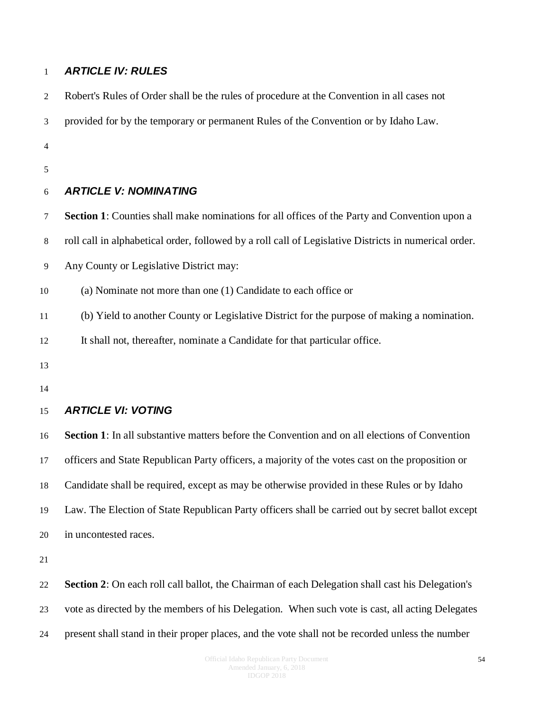#### <span id="page-53-0"></span>*ARTICLE IV: RULES*

<span id="page-53-2"></span><span id="page-53-1"></span>

| $\overline{2}$ | Robert's Rules of Order shall be the rules of procedure at the Convention in all cases not            |
|----------------|-------------------------------------------------------------------------------------------------------|
| 3              | provided for by the temporary or permanent Rules of the Convention or by Idaho Law.                   |
| $\overline{4}$ |                                                                                                       |
| 5              |                                                                                                       |
| 6              | <b>ARTICLE V: NOMINATING</b>                                                                          |
| 7              | Section 1: Counties shall make nominations for all offices of the Party and Convention upon a         |
| 8              | roll call in alphabetical order, followed by a roll call of Legislative Districts in numerical order. |
| 9              | Any County or Legislative District may:                                                               |
| 10             | (a) Nominate not more than one (1) Candidate to each office or                                        |
| 11             | (b) Yield to another County or Legislative District for the purpose of making a nomination.           |
| 12             | It shall not, thereafter, nominate a Candidate for that particular office.                            |
| 13             |                                                                                                       |
| 14             |                                                                                                       |
| 15             | <b>ARTICLE VI: VOTING</b>                                                                             |
| 16             | <b>Section 1:</b> In all substantive matters before the Convention and on all elections of Convention |
| 17             | officers and State Republican Party officers, a majority of the votes cast on the proposition or      |
| 18             | Candidate shall be required, except as may be otherwise provided in these Rules or by Idaho           |
| 19             | Law. The Election of State Republican Party officers shall be carried out by secret ballot except     |
| 20             | in uncontested races.                                                                                 |
| 21             |                                                                                                       |
| 22             | Section 2: On each roll call ballot, the Chairman of each Delegation shall cast his Delegation's      |
| 23             | vote as directed by the members of his Delegation. When such vote is cast, all acting Delegates       |
| 24             | present shall stand in their proper places, and the vote shall not be recorded unless the number      |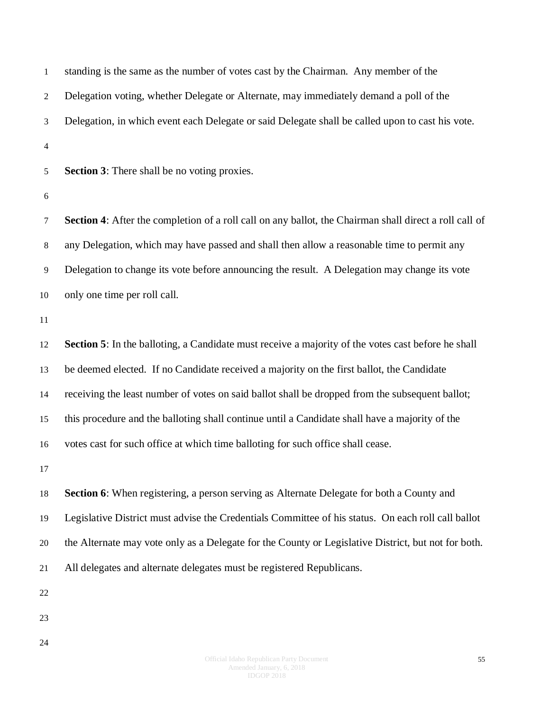| $\mathbf{1}$     | standing is the same as the number of votes cast by the Chairman. Any member of the                    |
|------------------|--------------------------------------------------------------------------------------------------------|
| $\boldsymbol{2}$ | Delegation voting, whether Delegate or Alternate, may immediately demand a poll of the                 |
| 3                | Delegation, in which event each Delegate or said Delegate shall be called upon to cast his vote.       |
| $\overline{4}$   |                                                                                                        |
| $\mathfrak s$    | <b>Section 3:</b> There shall be no voting proxies.                                                    |
| $\boldsymbol{6}$ |                                                                                                        |
| $\tau$           | Section 4: After the completion of a roll call on any ballot, the Chairman shall direct a roll call of |
| $8\,$            | any Delegation, which may have passed and shall then allow a reasonable time to permit any             |
| 9                | Delegation to change its vote before announcing the result. A Delegation may change its vote           |
| 10               | only one time per roll call.                                                                           |
| 11               |                                                                                                        |
| 12               | Section 5: In the balloting, a Candidate must receive a majority of the votes cast before he shall     |
| 13               | be deemed elected. If no Candidate received a majority on the first ballot, the Candidate              |
| 14               | receiving the least number of votes on said ballot shall be dropped from the subsequent ballot;        |
| 15               | this procedure and the balloting shall continue until a Candidate shall have a majority of the         |
| 16               | votes cast for such office at which time balloting for such office shall cease.                        |
| 17               |                                                                                                        |
| 18               | Section 6: When registering, a person serving as Alternate Delegate for both a County and              |
| 19               | Legislative District must advise the Credentials Committee of his status. On each roll call ballot     |
| 20               | the Alternate may vote only as a Delegate for the County or Legislative District, but not for both.    |
| 21               | All delegates and alternate delegates must be registered Republicans.                                  |
| 22               |                                                                                                        |
| 23               |                                                                                                        |
| 24               |                                                                                                        |
|                  |                                                                                                        |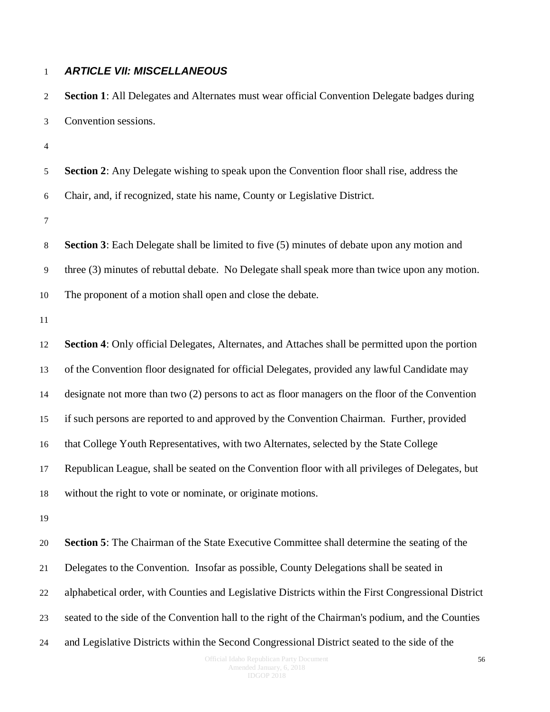#### <span id="page-55-0"></span>*ARTICLE VII: MISCELLANEOUS*

| 2              | Section 1: All Delegates and Alternates must wear official Convention Delegate badges during        |
|----------------|-----------------------------------------------------------------------------------------------------|
| 3              | Convention sessions.                                                                                |
| $\overline{4}$ |                                                                                                     |
| 5              | <b>Section 2:</b> Any Delegate wishing to speak upon the Convention floor shall rise, address the   |
| 6              | Chair, and, if recognized, state his name, County or Legislative District.                          |
| $\tau$         |                                                                                                     |
| 8              | <b>Section 3</b> : Each Delegate shall be limited to five (5) minutes of debate upon any motion and |
| 9              | three (3) minutes of rebuttal debate. No Delegate shall speak more than twice upon any motion.      |
| 10             | The proponent of a motion shall open and close the debate.                                          |
| 11             |                                                                                                     |
| 12             | Section 4: Only official Delegates, Alternates, and Attaches shall be permitted upon the portion    |
| 13             | of the Convention floor designated for official Delegates, provided any lawful Candidate may        |
| 14             | designate not more than two (2) persons to act as floor managers on the floor of the Convention     |
| 15             | if such persons are reported to and approved by the Convention Chairman. Further, provided          |
| 16             | that College Youth Representatives, with two Alternates, selected by the State College              |
| 17             | Republican League, shall be seated on the Convention floor with all privileges of Delegates, but    |
| 18             | without the right to vote or nominate, or originate motions.                                        |
| 19             |                                                                                                     |
| 20             | <b>Section 5:</b> The Chairman of the State Executive Committee shall determine the seating of the  |
| 21             | Delegates to the Convention. Insofar as possible, County Delegations shall be seated in             |
| 22             | alphabetical order, with Counties and Legislative Districts within the First Congressional District |
| 23             | seated to the side of the Convention hall to the right of the Chairman's podium, and the Counties   |
| 24             | and Legislative Districts within the Second Congressional District seated to the side of the        |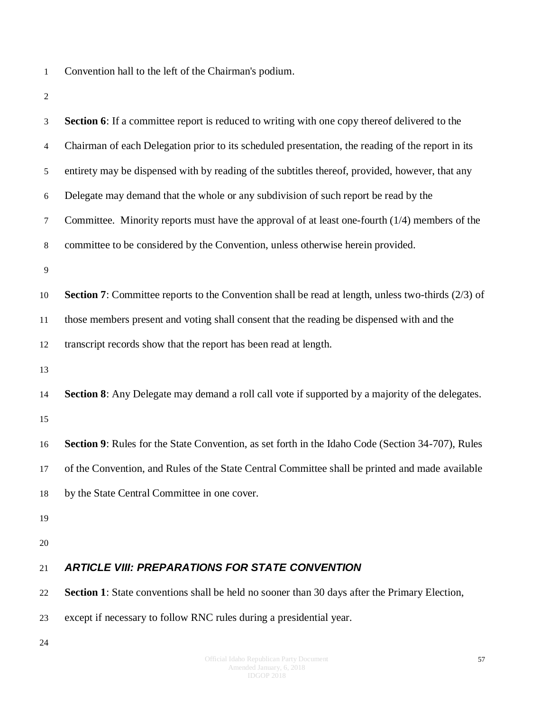- Convention hall to the left of the Chairman's podium.
- 

<span id="page-56-0"></span>

| 3              | <b>Section 6:</b> If a committee report is reduced to writing with one copy thereof delivered to the        |
|----------------|-------------------------------------------------------------------------------------------------------------|
| $\overline{4}$ | Chairman of each Delegation prior to its scheduled presentation, the reading of the report in its           |
| 5              | entirety may be dispensed with by reading of the subtitles thereof, provided, however, that any             |
| 6              | Delegate may demand that the whole or any subdivision of such report be read by the                         |
| $\tau$         | Committee. Minority reports must have the approval of at least one-fourth $(1/4)$ members of the            |
| $\,8\,$        | committee to be considered by the Convention, unless otherwise herein provided.                             |
| $\overline{9}$ |                                                                                                             |
| 10             | <b>Section 7:</b> Committee reports to the Convention shall be read at length, unless two-thirds $(2/3)$ of |
| 11             | those members present and voting shall consent that the reading be dispensed with and the                   |
| 12             | transcript records show that the report has been read at length.                                            |
| 13             |                                                                                                             |
| 14             | <b>Section 8:</b> Any Delegate may demand a roll call vote if supported by a majority of the delegates.     |
| 15             |                                                                                                             |
| 16             | Section 9: Rules for the State Convention, as set forth in the Idaho Code (Section 34-707), Rules           |
| 17             | of the Convention, and Rules of the State Central Committee shall be printed and made available             |
| 18             | by the State Central Committee in one cover.                                                                |
| 19             |                                                                                                             |
| 20             |                                                                                                             |
| 21             | <b>ARTICLE VIII: PREPARATIONS FOR STATE CONVENTION</b>                                                      |
| 22             | Section 1: State conventions shall be held no sooner than 30 days after the Primary Election,               |
| 23             | except if necessary to follow RNC rules during a presidential year.                                         |
| 24             |                                                                                                             |